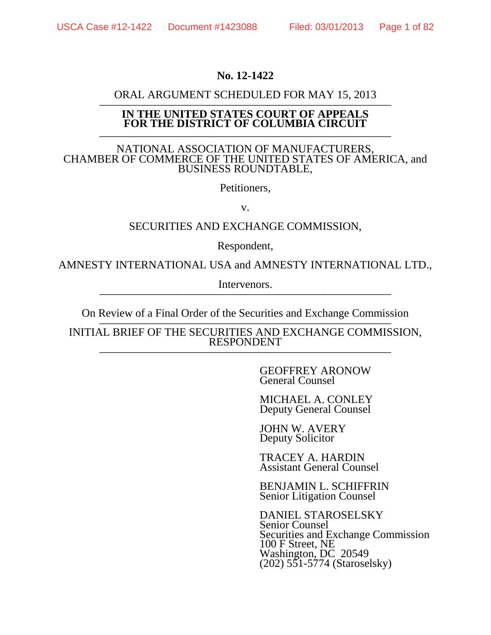### **No. 12-1422**

# **ORAL ARGUMENT SCHEDULED FOR MAY 15, 2013**<br>IN THE UNITED STATES COURT OF APPEALS

## **FOR THE DISTRICT OF COLUMBIA CIRCUIT**

——————————————————————————

### NATIONAL ASSOCIATION OF MANUFACTURERS, CHAMBER OF COMMERCE OF THE UNITED STATES OF AMERICA, and BUSINESS ROUNDTABLE,

Petitioners,

v.

### SECURITIES AND EXCHANGE COMMISSION,

Respondent,

AMNESTY INTERNATIONAL USA and AMNESTY INTERNATIONAL LTD.,

Intervenors.

On Review of a Final Order of the Securities and Exchange Commission —————————————————————————— INITIAL BRIEF OF THE SECURITIES AND EXCHANGE COMMISSION, **RESPONDENT** 

> GEOFFREY ARONOW General Counsel

> MICHAEL A. CONLEY Deputy General Counsel

JOHN W. AVERY Deputy Solicitor

TRACEY A. HARDIN Assistant General Counsel

BENJAMIN L. SCHIFFRIN Senior Litigation Counsel

DANIEL STAROSELSKY Senior Counsel Securities and Exchange Commission 100 F Street, NE Washington, DC 20549 (202) 551-5774 (Staroselsky)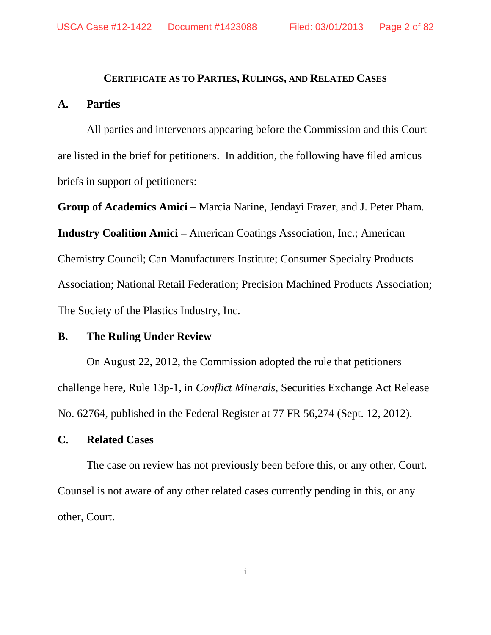#### **CERTIFICATE AS TO PARTIES, RULINGS, AND RELATED CASES**

### **A. Parties**

All parties and intervenors appearing before the Commission and this Court are listed in the brief for petitioners. In addition, the following have filed amicus briefs in support of petitioners:

**Group of Academics Amici** – Marcia Narine, Jendayi Frazer, and J. Peter Pham. **Industry Coalition Amici – American Coatings Association, Inc.; American** Chemistry Council; Can Manufacturers Institute; Consumer Specialty Products Association; National Retail Federation; Precision Machined Products Association; The Society of the Plastics Industry, Inc.

### **B. The Ruling Under Review**

On August 22, 2012, the Commission adopted the rule that petitioners challenge here, Rule 13p-1, in *Conflict Minerals*, Securities Exchange Act Release No. 62764, published in the Federal Register at 77 FR 56,274 (Sept. 12, 2012).

### **C. Related Cases**

The case on review has not previously been before this, or any other, Court. Counsel is not aware of any other related cases currently pending in this, or any other, Court.

i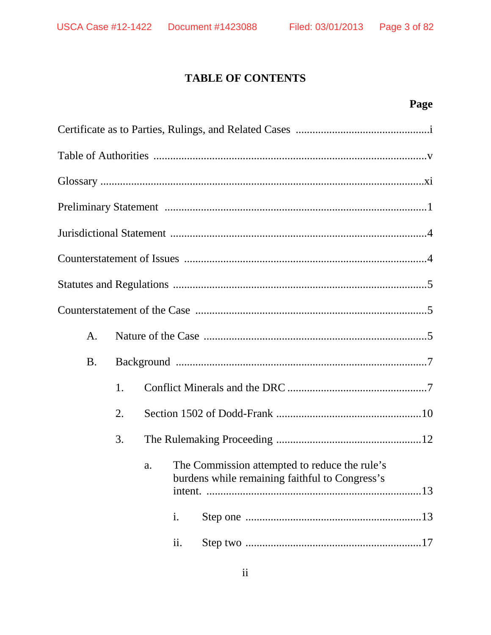### **TABLE OF CONTENTS**

## Page

| A.        |    |    |     |                                                                                                 |
|-----------|----|----|-----|-------------------------------------------------------------------------------------------------|
| <b>B.</b> |    |    |     |                                                                                                 |
|           | 1. |    |     |                                                                                                 |
|           | 2. |    |     |                                                                                                 |
|           | 3. |    |     |                                                                                                 |
|           |    | a. |     | The Commission attempted to reduce the rule's<br>burdens while remaining faithful to Congress's |
|           |    |    | i.  |                                                                                                 |
|           |    |    | ii. |                                                                                                 |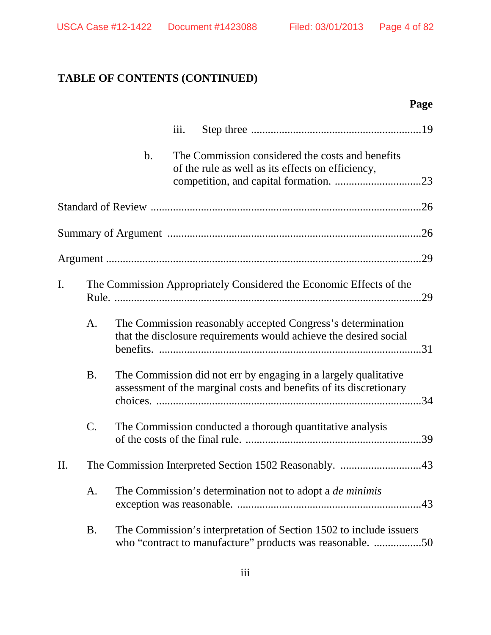## **TABLE OF CONTENTS (CONTINUED)**

## **Page**

|     |                 |    | iii. |                                                                                                                                       |     |
|-----|-----------------|----|------|---------------------------------------------------------------------------------------------------------------------------------------|-----|
|     |                 | b. |      | The Commission considered the costs and benefits<br>of the rule as well as its effects on efficiency,                                 |     |
|     |                 |    |      |                                                                                                                                       |     |
|     |                 |    |      |                                                                                                                                       |     |
|     |                 |    |      |                                                                                                                                       | .29 |
| I.  |                 |    |      | The Commission Appropriately Considered the Economic Effects of the                                                                   |     |
|     | A.              |    |      | The Commission reasonably accepted Congress's determination<br>that the disclosure requirements would achieve the desired social      |     |
|     | <b>B.</b>       |    |      | The Commission did not err by engaging in a largely qualitative<br>assessment of the marginal costs and benefits of its discretionary |     |
|     | $\mathcal{C}$ . |    |      | The Commission conducted a thorough quantitative analysis                                                                             | .39 |
| II. |                 |    |      | The Commission Interpreted Section 1502 Reasonably. 43                                                                                |     |
|     | A.              |    |      | The Commission's determination not to adopt a <i>de minimis</i>                                                                       |     |
|     | <b>B.</b>       |    |      | The Commission's interpretation of Section 1502 to include issuers<br>who "contract to manufacture" products was reasonable. 50       |     |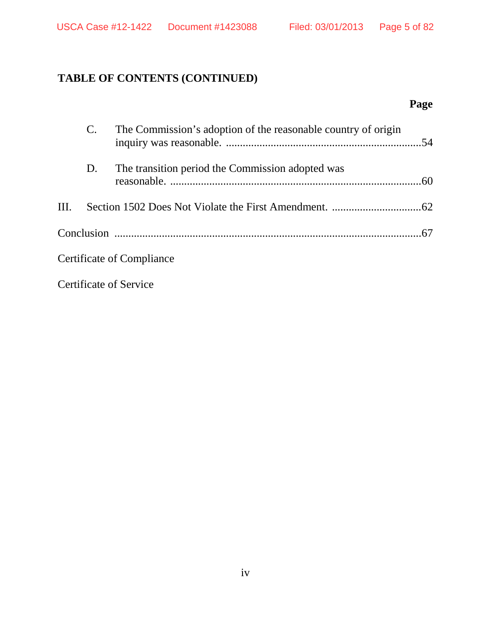## **TABLE OF CONTENTS (CONTINUED)**

## **Page**

|      |    | The Commission's adoption of the reasonable country of origin |  |
|------|----|---------------------------------------------------------------|--|
|      | D. | The transition period the Commission adopted was              |  |
| III. |    |                                                               |  |
|      |    |                                                               |  |
|      |    | Certificate of Compliance                                     |  |
|      |    | <b>Certificate of Service</b>                                 |  |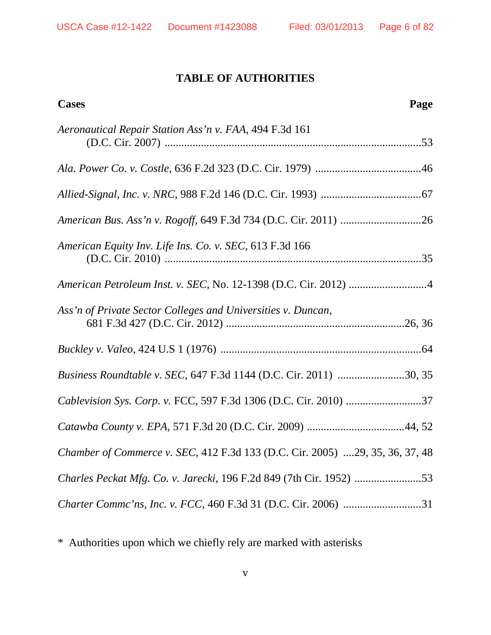### **TABLE OF AUTHORITIES**

| Page<br><b>Cases</b>                                                         |
|------------------------------------------------------------------------------|
| Aeronautical Repair Station Ass'n v. FAA, 494 F.3d 161                       |
|                                                                              |
|                                                                              |
|                                                                              |
| American Equity Inv. Life Ins. Co. v. SEC, 613 F.3d 166                      |
| American Petroleum Inst. v. SEC, No. 12-1398 (D.C. Cir. 2012) 4              |
| Ass'n of Private Sector Colleges and Universities v. Duncan,                 |
|                                                                              |
| Business Roundtable v. SEC, 647 F.3d 1144 (D.C. Cir. 2011) 30, 35            |
|                                                                              |
|                                                                              |
| Chamber of Commerce v. SEC, 412 F.3d 133 (D.C. Cir. 2005) 29, 35, 36, 37, 48 |
|                                                                              |
|                                                                              |

\* Authorities upon which we chiefly rely are marked with asterisks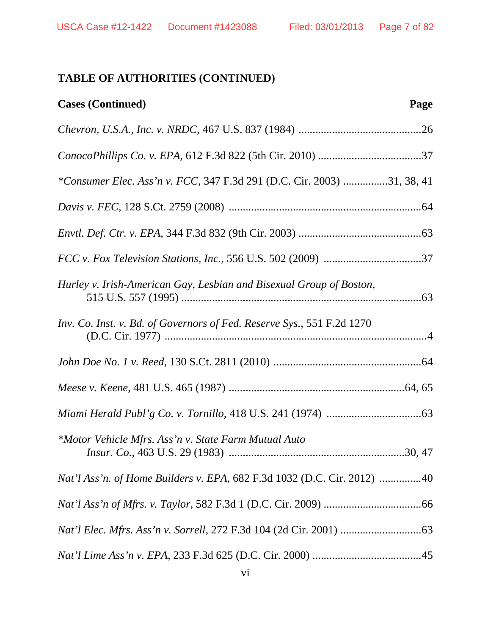| <b>Cases (Continued)</b>                                                | Page |
|-------------------------------------------------------------------------|------|
|                                                                         |      |
|                                                                         |      |
| *Consumer Elec. Ass'n v. FCC, 347 F.3d 291 (D.C. Cir. 2003) 31, 38, 41  |      |
|                                                                         |      |
|                                                                         |      |
|                                                                         |      |
| Hurley v. Irish-American Gay, Lesbian and Bisexual Group of Boston,     |      |
| Inv. Co. Inst. v. Bd. of Governors of Fed. Reserve Sys., 551 F.2d 1270  |      |
|                                                                         |      |
|                                                                         |      |
|                                                                         |      |
| *Motor Vehicle Mfrs. Ass'n v. State Farm Mutual Auto                    |      |
| Nat'l Ass'n. of Home Builders v. EPA, 682 F.3d 1032 (D.C. Cir. 2012) 40 |      |
|                                                                         |      |
|                                                                         |      |
|                                                                         |      |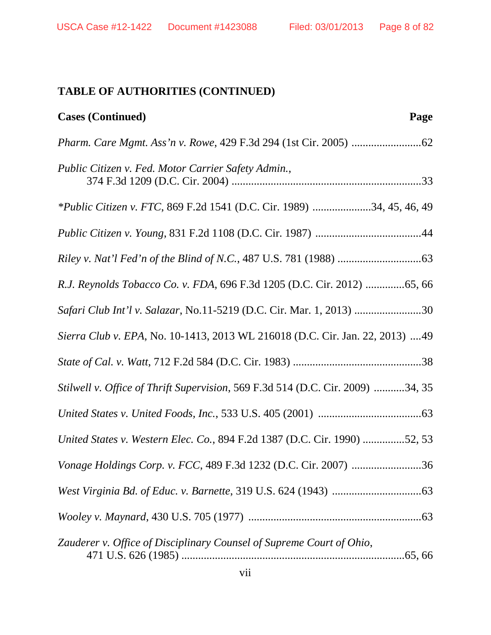| <b>Cases (Continued)</b><br>Page                                               |
|--------------------------------------------------------------------------------|
|                                                                                |
| Public Citizen v. Fed. Motor Carrier Safety Admin.,                            |
| <i>*Public Citizen v. FTC</i> , 869 F.2d 1541 (D.C. Cir. 1989) 34, 45, 46, 49  |
|                                                                                |
|                                                                                |
| R.J. Reynolds Tobacco Co. v. FDA, 696 F.3d 1205 (D.C. Cir. 2012) 65, 66        |
| Safari Club Int'l v. Salazar, No.11-5219 (D.C. Cir. Mar. 1, 2013) 30           |
| Sierra Club v. EPA, No. 10-1413, 2013 WL 216018 (D.C. Cir. Jan. 22, 2013) 49   |
|                                                                                |
| Stilwell v. Office of Thrift Supervision, 569 F.3d 514 (D.C. Cir. 2009) 34, 35 |
|                                                                                |
| United States v. Western Elec. Co., 894 F.2d 1387 (D.C. Cir. 1990) 52, 53      |
|                                                                                |
|                                                                                |
|                                                                                |
| Zauderer v. Office of Disciplinary Counsel of Supreme Court of Ohio,           |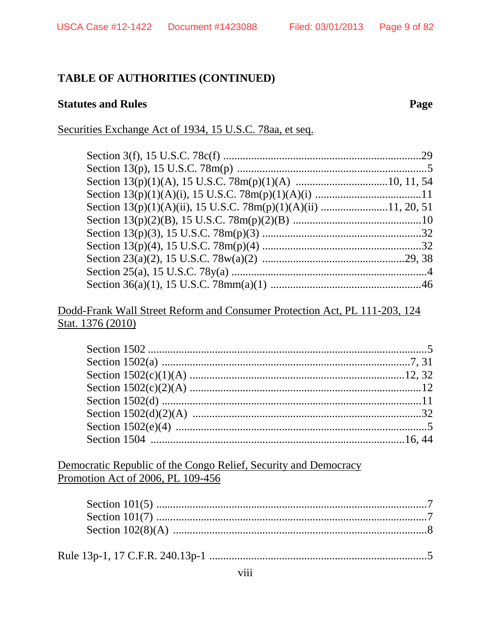### **Statutes and Rules**

Page

### Securities Exchange Act of 1934, 15 U.S.C. 78aa, et seq.

### Dodd-Frank Wall Street Reform and Consumer Protection Act, PL 111-203, 124 Stat. 1376 (2010)

Democratic Republic of the Congo Relief, Security and Democracy Promotion Act of 2006, PL 109-456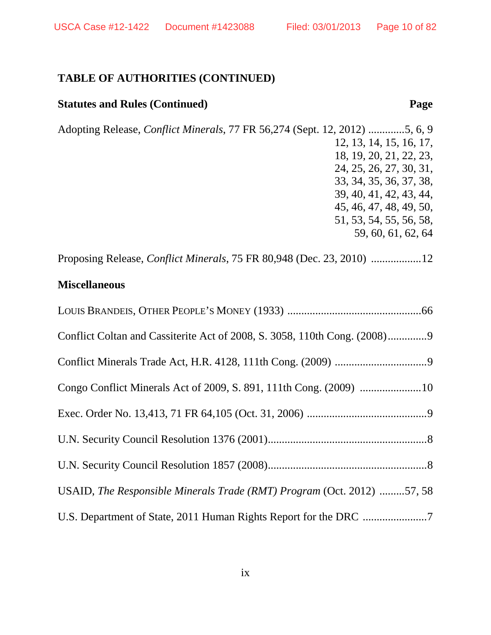### **Statutes and Rules (Continued) Page**

Adopting Release, *Conflict Minerals*, 77 FR 56,274 (Sept. 12, 2012) .............5, 6, 9 12, 13, 14, 15, 16, 17, 18, 19, 20, 21, 22, 23, 24, 25, 26, 27, 30, 31, 33, 34, 35, 36, 37, 38, 39, 40, 41, 42, 43, 44, 45, 46, 47, 48, 49, 50, 51, 53, 54, 55, 56, 58, 59, 60, 61, 62, 64

Proposing Release, *Conflict Minerals*, 75 FR 80,948 (Dec. 23, 2010) ..................12

### **Miscellaneous**

| USAID, The Responsible Minerals Trade (RMT) Program (Oct. 2012) 57, 58 |
|------------------------------------------------------------------------|
|                                                                        |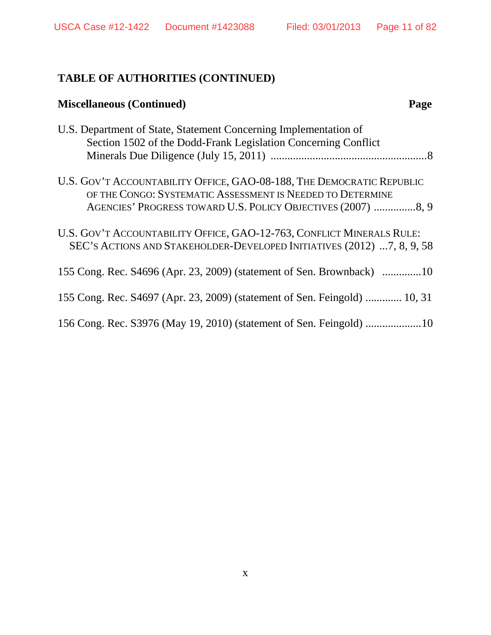| <b>Miscellaneous (Continued)</b>                                                                                                                                                                    | Page |
|-----------------------------------------------------------------------------------------------------------------------------------------------------------------------------------------------------|------|
| U.S. Department of State, Statement Concerning Implementation of<br>Section 1502 of the Dodd-Frank Legislation Concerning Conflict                                                                  |      |
| U.S. GOV'T ACCOUNTABILITY OFFICE, GAO-08-188, THE DEMOCRATIC REPUBLIC<br>OF THE CONGO: SYSTEMATIC ASSESSMENT IS NEEDED TO DETERMINE<br>AGENCIES' PROGRESS TOWARD U.S. POLICY OBJECTIVES (2007) 8, 9 |      |
| U.S. GOV'T ACCOUNTABILITY OFFICE, GAO-12-763, CONFLICT MINERALS RULE:<br>SEC'S ACTIONS AND STAKEHOLDER-DEVELOPED INITIATIVES (2012) 7, 8, 9, 58                                                     |      |
| 155 Cong. Rec. S4696 (Apr. 23, 2009) (statement of Sen. Brownback) 10                                                                                                                               |      |
| 155 Cong. Rec. S4697 (Apr. 23, 2009) (statement of Sen. Feingold)  10, 31                                                                                                                           |      |
|                                                                                                                                                                                                     |      |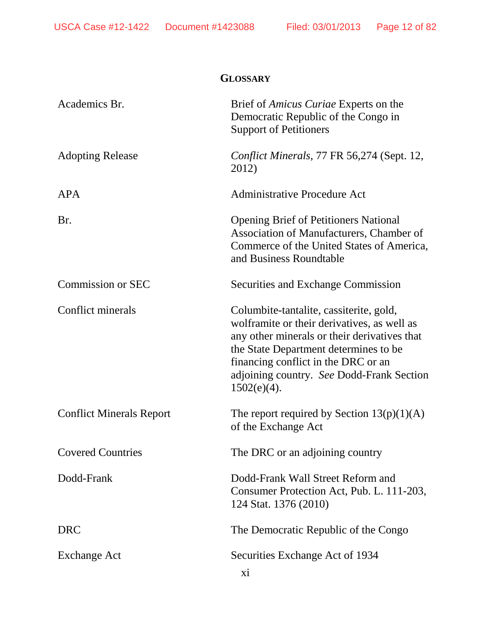| <b>GLOSSARY</b>                 |                                                                                                                                                                                                                                                                                       |  |  |
|---------------------------------|---------------------------------------------------------------------------------------------------------------------------------------------------------------------------------------------------------------------------------------------------------------------------------------|--|--|
| Academics Br.                   | Brief of <i>Amicus Curiae</i> Experts on the<br>Democratic Republic of the Congo in<br><b>Support of Petitioners</b>                                                                                                                                                                  |  |  |
| <b>Adopting Release</b>         | Conflict Minerals, 77 FR 56,274 (Sept. 12,<br>2012)                                                                                                                                                                                                                                   |  |  |
| APA                             | <b>Administrative Procedure Act</b>                                                                                                                                                                                                                                                   |  |  |
| Br.                             | <b>Opening Brief of Petitioners National</b><br>Association of Manufacturers, Chamber of<br>Commerce of the United States of America,<br>and Business Roundtable                                                                                                                      |  |  |
| <b>Commission or SEC</b>        | <b>Securities and Exchange Commission</b>                                                                                                                                                                                                                                             |  |  |
| Conflict minerals               | Columbite-tantalite, cassiterite, gold,<br>wolframite or their derivatives, as well as<br>any other minerals or their derivatives that<br>the State Department determines to be<br>financing conflict in the DRC or an<br>adjoining country. See Dodd-Frank Section<br>$1502(e)(4)$ . |  |  |
| <b>Conflict Minerals Report</b> | The report required by Section $13(p)(1)(A)$<br>of the Exchange Act                                                                                                                                                                                                                   |  |  |
| <b>Covered Countries</b>        | The DRC or an adjoining country                                                                                                                                                                                                                                                       |  |  |
| Dodd-Frank                      | Dodd-Frank Wall Street Reform and<br>Consumer Protection Act, Pub. L. 111-203,<br>124 Stat. 1376 (2010)                                                                                                                                                                               |  |  |
| DRC                             | The Democratic Republic of the Congo                                                                                                                                                                                                                                                  |  |  |
| <b>Exchange Act</b>             | Securities Exchange Act of 1934<br>xi                                                                                                                                                                                                                                                 |  |  |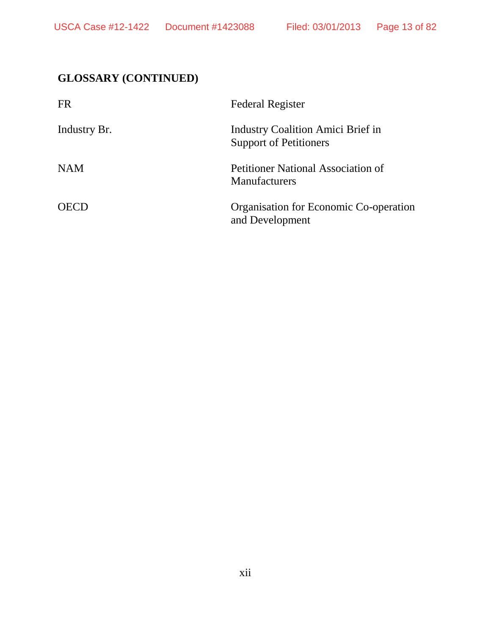## **GLOSSARY (CONTINUED)**

| <b>FR</b>    | <b>Federal Register</b>                                            |
|--------------|--------------------------------------------------------------------|
| Industry Br. | Industry Coalition Amici Brief in<br><b>Support of Petitioners</b> |
| <b>NAM</b>   | <b>Petitioner National Association of</b><br><b>Manufacturers</b>  |
| <b>OECD</b>  | Organisation for Economic Co-operation<br>and Development          |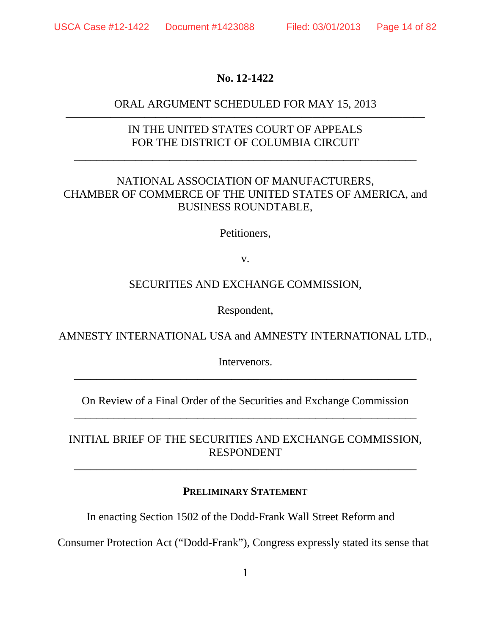### **No. 12-1422**

### ORAL ARGUMENT SCHEDULED FOR MAY 15, 2013 ————————————————————————————————

### IN THE UNITED STATES COURT OF APPEALS FOR THE DISTRICT OF COLUMBIA CIRCUIT

\_\_\_\_\_\_\_\_\_\_\_\_\_\_\_\_\_\_\_\_\_\_\_\_\_\_\_\_\_\_\_\_\_\_\_\_\_\_\_\_\_\_\_\_\_\_\_\_\_\_\_\_\_\_\_\_\_\_\_\_\_

### NATIONAL ASSOCIATION OF MANUFACTURERS, CHAMBER OF COMMERCE OF THE UNITED STATES OF AMERICA, and BUSINESS ROUNDTABLE,

Petitioners,

v.

### SECURITIES AND EXCHANGE COMMISSION,

Respondent,

AMNESTY INTERNATIONAL USA and AMNESTY INTERNATIONAL LTD.,

Intervenors. \_\_\_\_\_\_\_\_\_\_\_\_\_\_\_\_\_\_\_\_\_\_\_\_\_\_\_\_\_\_\_\_\_\_\_\_\_\_\_\_\_\_\_\_\_\_\_\_\_\_\_\_\_\_\_\_\_\_\_\_\_

On Review of a Final Order of the Securities and Exchange Commission \_\_\_\_\_\_\_\_\_\_\_\_\_\_\_\_\_\_\_\_\_\_\_\_\_\_\_\_\_\_\_\_\_\_\_\_\_\_\_\_\_\_\_\_\_\_\_\_\_\_\_\_\_\_\_\_\_\_\_\_\_

### INITIAL BRIEF OF THE SECURITIES AND EXCHANGE COMMISSION, RESPONDENT

\_\_\_\_\_\_\_\_\_\_\_\_\_\_\_\_\_\_\_\_\_\_\_\_\_\_\_\_\_\_\_\_\_\_\_\_\_\_\_\_\_\_\_\_\_\_\_\_\_\_\_\_\_\_\_\_\_\_\_\_\_

### **PRELIMINARY STATEMENT**

In enacting Section 1502 of the Dodd-Frank Wall Street Reform and

Consumer Protection Act ("Dodd-Frank"), Congress expressly stated its sense that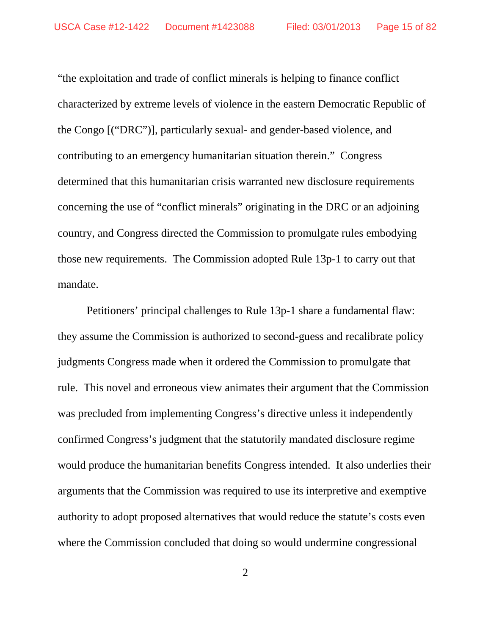"the exploitation and trade of conflict minerals is helping to finance conflict characterized by extreme levels of violence in the eastern Democratic Republic of the Congo [("DRC")], particularly sexual- and gender-based violence, and contributing to an emergency humanitarian situation therein." Congress determined that this humanitarian crisis warranted new disclosure requirements concerning the use of "conflict minerals" originating in the DRC or an adjoining country, and Congress directed the Commission to promulgate rules embodying those new requirements. The Commission adopted Rule 13p-1 to carry out that mandate.

Petitioners' principal challenges to Rule 13p-1 share a fundamental flaw: they assume the Commission is authorized to second-guess and recalibrate policy judgments Congress made when it ordered the Commission to promulgate that rule. This novel and erroneous view animates their argument that the Commission was precluded from implementing Congress's directive unless it independently confirmed Congress's judgment that the statutorily mandated disclosure regime would produce the humanitarian benefits Congress intended. It also underlies their arguments that the Commission was required to use its interpretive and exemptive authority to adopt proposed alternatives that would reduce the statute's costs even where the Commission concluded that doing so would undermine congressional

2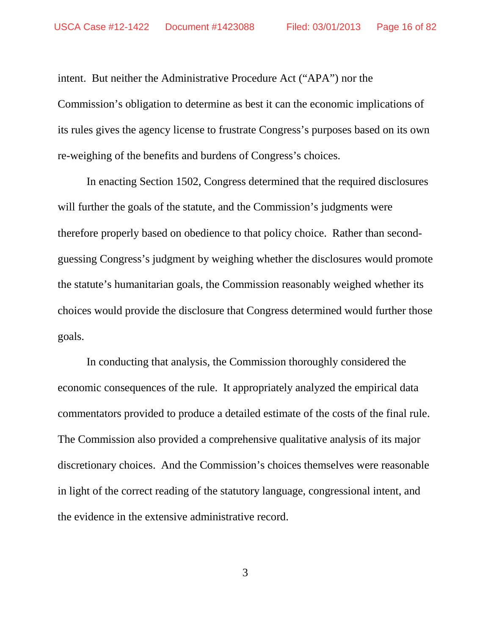intent. But neither the Administrative Procedure Act ("APA") nor the Commission's obligation to determine as best it can the economic implications of its rules gives the agency license to frustrate Congress's purposes based on its own re-weighing of the benefits and burdens of Congress's choices.

In enacting Section 1502, Congress determined that the required disclosures will further the goals of the statute, and the Commission's judgments were therefore properly based on obedience to that policy choice. Rather than secondguessing Congress's judgment by weighing whether the disclosures would promote the statute's humanitarian goals, the Commission reasonably weighed whether its choices would provide the disclosure that Congress determined would further those goals.

In conducting that analysis, the Commission thoroughly considered the economic consequences of the rule. It appropriately analyzed the empirical data commentators provided to produce a detailed estimate of the costs of the final rule. The Commission also provided a comprehensive qualitative analysis of its major discretionary choices. And the Commission's choices themselves were reasonable in light of the correct reading of the statutory language, congressional intent, and the evidence in the extensive administrative record.

3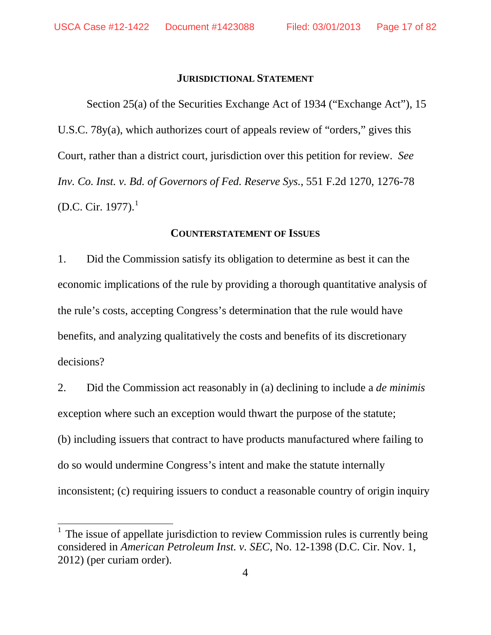#### **JURISDICTIONAL STATEMENT**

Section 25(a) of the Securities Exchange Act of 1934 ("Exchange Act"), 15 U.S.C. 78y(a), which authorizes court of appeals review of "orders," gives this Court, rather than a district court, jurisdiction over this petition for review. *See Inv. Co. Inst. v. Bd. of Governors of Fed. Reserve Sys.*, 551 F.2d 1270, 1276-78 (D.C. Cir. [1](#page-16-0)977). $^1$ 

#### **COUNTERSTATEMENT OF ISSUES**

1. Did the Commission satisfy its obligation to determine as best it can the economic implications of the rule by providing a thorough quantitative analysis of the rule's costs, accepting Congress's determination that the rule would have benefits, and analyzing qualitatively the costs and benefits of its discretionary decisions?

2. Did the Commission act reasonably in (a) declining to include a *de minimis* exception where such an exception would thwart the purpose of the statute; (b) including issuers that contract to have products manufactured where failing to do so would undermine Congress's intent and make the statute internally inconsistent; (c) requiring issuers to conduct a reasonable country of origin inquiry

<span id="page-16-0"></span><sup>&</sup>lt;sup>1</sup> The issue of appellate jurisdiction to review Commission rules is currently being considered in *American Petroleum Inst. v. SEC*, No. 12-1398 (D.C. Cir. Nov. 1, 2012) (per curiam order).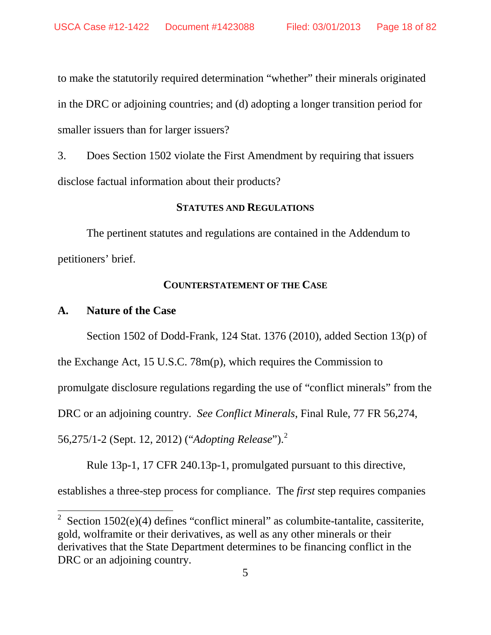to make the statutorily required determination "whether" their minerals originated in the DRC or adjoining countries; and (d) adopting a longer transition period for smaller issuers than for larger issuers?

3. Does Section 1502 violate the First Amendment by requiring that issuers disclose factual information about their products?

### **STATUTES AND REGULATIONS**

The pertinent statutes and regulations are contained in the Addendum to petitioners' brief.

#### **COUNTERSTATEMENT OF THE CASE**

#### **A. Nature of the Case**

Section 1502 of Dodd-Frank, 124 Stat. 1376 (2010), added Section 13(p) of

the Exchange Act, 15 U.S.C. 78m(p), which requires the Commission to

promulgate disclosure regulations regarding the use of "conflict minerals" from the

DRC or an adjoining country. *See Conflict Minerals*, Final Rule, 77 FR 56,274,

56,275/1-2 (Sept. 12, 2012) ("*Adopting Release*").[2](#page-17-0)

Rule 13p-1, 17 CFR 240.13p-1, promulgated pursuant to this directive,

establishes a three-step process for compliance. The *first* step requires companies

<span id="page-17-0"></span><sup>&</sup>lt;sup>2</sup> Section 1502(e)(4) defines "conflict mineral" as columbite-tantalite, cassiterite, gold, wolframite or their derivatives, as well as any other minerals or their derivatives that the State Department determines to be financing conflict in the DRC or an adjoining country.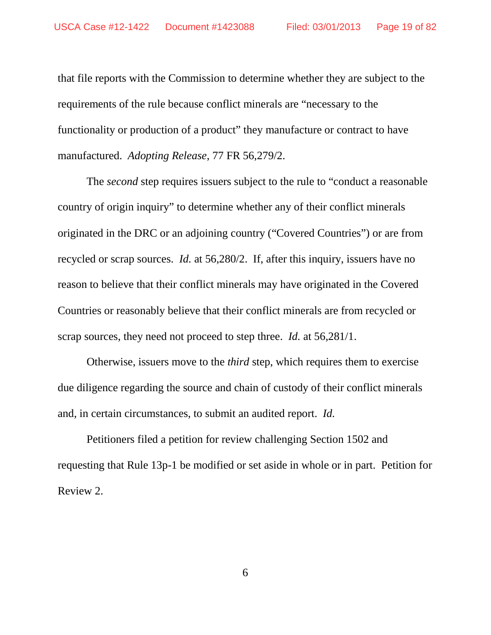that file reports with the Commission to determine whether they are subject to the requirements of the rule because conflict minerals are "necessary to the functionality or production of a product" they manufacture or contract to have manufactured. *Adopting Release*, 77 FR 56,279/2.

The *second* step requires issuers subject to the rule to "conduct a reasonable country of origin inquiry" to determine whether any of their conflict minerals originated in the DRC or an adjoining country ("Covered Countries") or are from recycled or scrap sources. *Id.* at 56,280/2. If, after this inquiry, issuers have no reason to believe that their conflict minerals may have originated in the Covered Countries or reasonably believe that their conflict minerals are from recycled or scrap sources, they need not proceed to step three. *Id.* at 56,281/1.

Otherwise, issuers move to the *third* step, which requires them to exercise due diligence regarding the source and chain of custody of their conflict minerals and, in certain circumstances, to submit an audited report. *Id.*

Petitioners filed a petition for review challenging Section 1502 and requesting that Rule 13p-1 be modified or set aside in whole or in part. Petition for Review 2.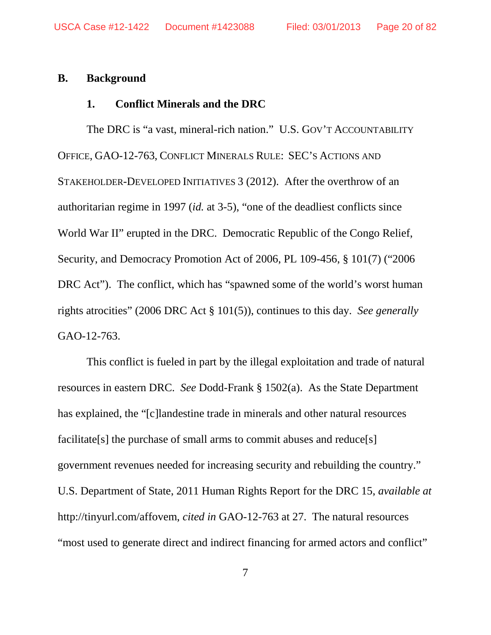### **B. Background**

### **1. Conflict Minerals and the DRC**

The DRC is "a vast, mineral-rich nation." U.S. GOV'T ACCOUNTABILITY OFFICE, GAO-12-763, CONFLICT MINERALS RULE: SEC'S ACTIONS AND STAKEHOLDER-DEVELOPED INITIATIVES 3 (2012). After the overthrow of an authoritarian regime in 1997 (*id.* at 3-5), "one of the deadliest conflicts since World War II" erupted in the DRC. Democratic Republic of the Congo Relief, Security, and Democracy Promotion Act of 2006, PL 109-456, § 101(7) ("2006 DRC Act"). The conflict, which has "spawned some of the world's worst human rights atrocities" (2006 DRC Act § 101(5)), continues to this day. *See generally*  GAO-12-763.

This conflict is fueled in part by the illegal exploitation and trade of natural resources in eastern DRC. *See* Dodd-Frank § 1502(a). As the State Department has explained, the "[c]landestine trade in minerals and other natural resources facilitate<sup>[s]</sup> the purchase of small arms to commit abuses and reduce<sup>[s]</sup> government revenues needed for increasing security and rebuilding the country." U.S. Department of State, 2011 Human Rights Report for the DRC 15, *available at*  http://tinyurl.com/affovem, *cited in* GAO-12-763 at 27. The natural resources "most used to generate direct and indirect financing for armed actors and conflict"

7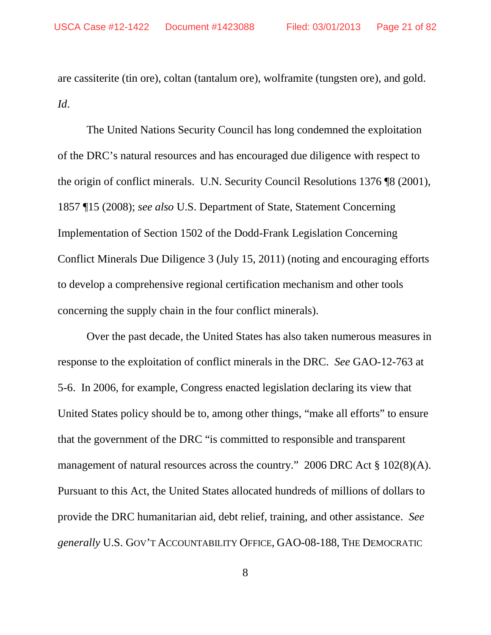are cassiterite (tin ore), coltan (tantalum ore), wolframite (tungsten ore), and gold. *Id*.

The United Nations Security Council has long condemned the exploitation of the DRC's natural resources and has encouraged due diligence with respect to the origin of conflict minerals. U.N. Security Council Resolutions 1376 ¶8 (2001), 1857 ¶15 (2008); *see also* U.S. Department of State, Statement Concerning Implementation of Section 1502 of the Dodd-Frank Legislation Concerning Conflict Minerals Due Diligence 3 (July 15, 2011) (noting and encouraging efforts to develop a comprehensive regional certification mechanism and other tools concerning the supply chain in the four conflict minerals).

Over the past decade, the United States has also taken numerous measures in response to the exploitation of conflict minerals in the DRC. *See* GAO-12-763 at 5-6. In 2006, for example, Congress enacted legislation declaring its view that United States policy should be to, among other things, "make all efforts" to ensure that the government of the DRC "is committed to responsible and transparent management of natural resources across the country." 2006 DRC Act § 102(8)(A). Pursuant to this Act, the United States allocated hundreds of millions of dollars to provide the DRC humanitarian aid, debt relief, training, and other assistance. *See generally* U.S. GOV'T ACCOUNTABILITY OFFICE, GAO-08-188, THE DEMOCRATIC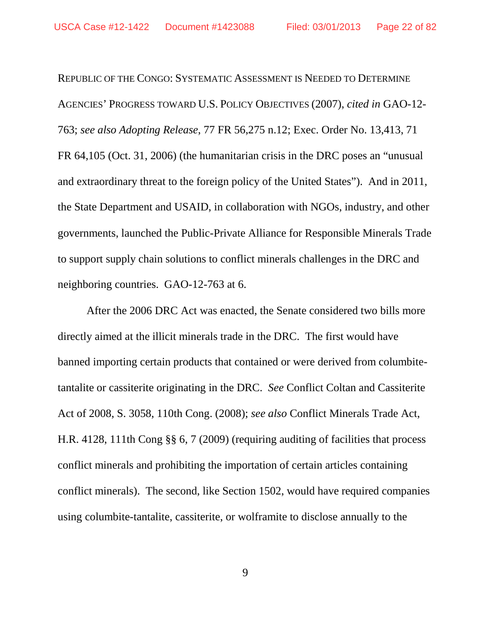REPUBLIC OF THE CONGO: SYSTEMATIC ASSESSMENT IS NEEDED TO DETERMINE AGENCIES' PROGRESS TOWARD U.S. POLICY OBJECTIVES (2007), *cited in* GAO-12- 763; *see also Adopting Release*, 77 FR 56,275 n.12; Exec. Order No. 13,413, 71 FR 64,105 (Oct. 31, 2006) (the humanitarian crisis in the DRC poses an "unusual and extraordinary threat to the foreign policy of the United States"). And in 2011, the State Department and USAID, in collaboration with NGOs, industry, and other governments, launched the Public-Private Alliance for Responsible Minerals Trade to support supply chain solutions to conflict minerals challenges in the DRC and neighboring countries. GAO-12-763 at 6.

After the 2006 DRC Act was enacted, the Senate considered two bills more directly aimed at the illicit minerals trade in the DRC. The first would have banned importing certain products that contained or were derived from columbitetantalite or cassiterite originating in the DRC. *See* Conflict Coltan and Cassiterite Act of 2008, S. 3058, 110th Cong. (2008); *see also* Conflict Minerals Trade Act, H.R. 4128, 111th Cong §§ 6, 7 (2009) (requiring auditing of facilities that process conflict minerals and prohibiting the importation of certain articles containing conflict minerals). The second, like Section 1502, would have required companies using columbite-tantalite, cassiterite, or wolframite to disclose annually to the

9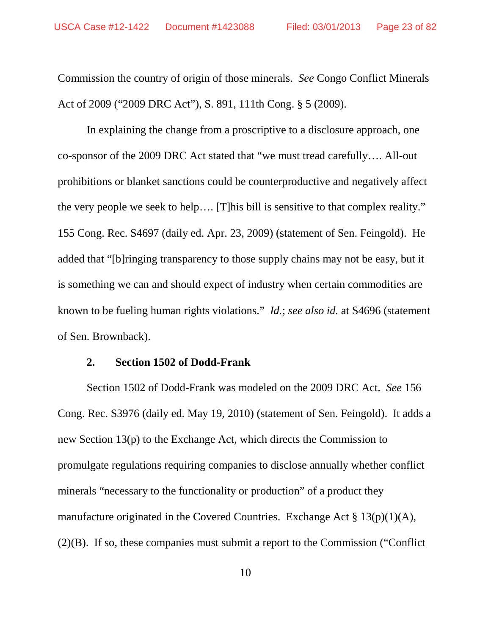Commission the country of origin of those minerals. *See* Congo Conflict Minerals Act of 2009 ("2009 DRC Act"), S. 891, 111th Cong. § 5 (2009).

In explaining the change from a proscriptive to a disclosure approach, one co-sponsor of the 2009 DRC Act stated that "we must tread carefully…. All-out prohibitions or blanket sanctions could be counterproductive and negatively affect the very people we seek to help…. [T]his bill is sensitive to that complex reality." 155 Cong. Rec. S4697 (daily ed. Apr. 23, 2009) (statement of Sen. Feingold). He added that "[b]ringing transparency to those supply chains may not be easy, but it is something we can and should expect of industry when certain commodities are known to be fueling human rights violations." *Id.*; *see also id.* at S4696 (statement of Sen. Brownback).

### **2. Section 1502 of Dodd-Frank**

Section 1502 of Dodd-Frank was modeled on the 2009 DRC Act. *See* 156 Cong. Rec. S3976 (daily ed. May 19, 2010) (statement of Sen. Feingold). It adds a new Section 13(p) to the Exchange Act, which directs the Commission to promulgate regulations requiring companies to disclose annually whether conflict minerals "necessary to the functionality or production" of a product they manufacture originated in the Covered Countries. Exchange Act § 13(p)(1)(A), (2)(B). If so, these companies must submit a report to the Commission ("Conflict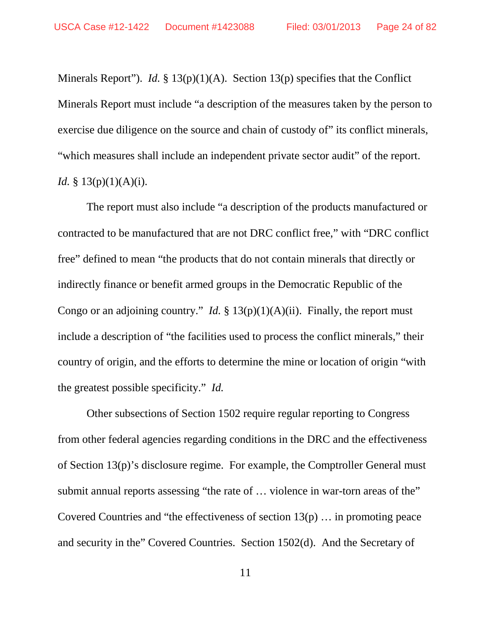Minerals Report"). *Id.* § 13(p)(1)(A). Section 13(p) specifies that the Conflict Minerals Report must include "a description of the measures taken by the person to exercise due diligence on the source and chain of custody of" its conflict minerals, "which measures shall include an independent private sector audit" of the report. *Id.* § 13(p)(1)(A)(i).

The report must also include "a description of the products manufactured or contracted to be manufactured that are not DRC conflict free," with "DRC conflict free" defined to mean "the products that do not contain minerals that directly or indirectly finance or benefit armed groups in the Democratic Republic of the Congo or an adjoining country." *Id.*  $\S 13(p)(1)(A)(ii)$ . Finally, the report must include a description of "the facilities used to process the conflict minerals," their country of origin, and the efforts to determine the mine or location of origin "with the greatest possible specificity." *Id.*

Other subsections of Section 1502 require regular reporting to Congress from other federal agencies regarding conditions in the DRC and the effectiveness of Section 13(p)'s disclosure regime. For example, the Comptroller General must submit annual reports assessing "the rate of … violence in war-torn areas of the" Covered Countries and "the effectiveness of section 13(p) … in promoting peace and security in the" Covered Countries. Section 1502(d). And the Secretary of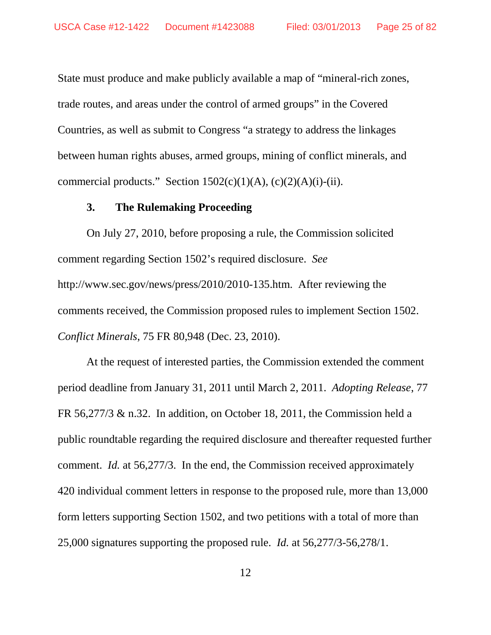State must produce and make publicly available a map of "mineral-rich zones, trade routes, and areas under the control of armed groups" in the Covered Countries, as well as submit to Congress "a strategy to address the linkages between human rights abuses, armed groups, mining of conflict minerals, and commercial products." Section  $1502(c)(1)(A)$ ,  $(c)(2)(A)(i)-(ii)$ .

### **3. The Rulemaking Proceeding**

On July 27, 2010, before proposing a rule, the Commission solicited comment regarding Section 1502's required disclosure. *See* http://www.sec.gov/news/press/2010/2010-135.htm. After reviewing the comments received, the Commission proposed rules to implement Section 1502. *Conflict Minerals*, 75 FR 80,948 (Dec. 23, 2010).

At the request of interested parties, the Commission extended the comment period deadline from January 31, 2011 until March 2, 2011. *Adopting Release*, 77 FR 56,277/3 & n.32. In addition, on October 18, 2011, the Commission held a public roundtable regarding the required disclosure and thereafter requested further comment. *Id.* at 56,277/3. In the end, the Commission received approximately 420 individual comment letters in response to the proposed rule, more than 13,000 form letters supporting Section 1502, and two petitions with a total of more than 25,000 signatures supporting the proposed rule. *Id.* at 56,277/3-56,278/1.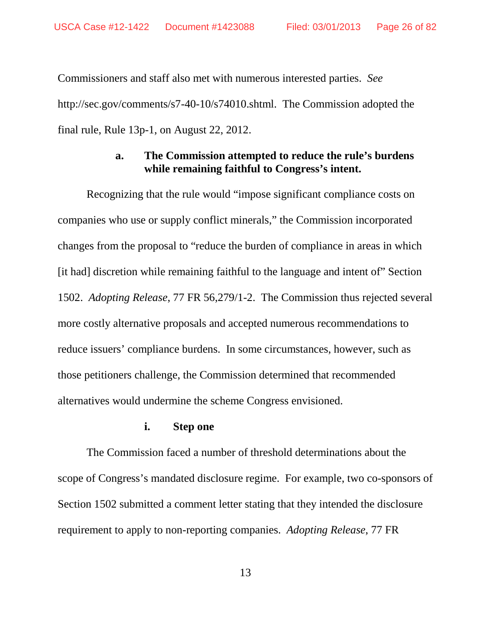Commissioners and staff also met with numerous interested parties. *See*  http://sec.gov/comments/s7-40-10/s74010.shtml. The Commission adopted the final rule, Rule 13p-1, on August 22, 2012.

### **a. The Commission attempted to reduce the rule's burdens while remaining faithful to Congress's intent.**

Recognizing that the rule would "impose significant compliance costs on companies who use or supply conflict minerals," the Commission incorporated changes from the proposal to "reduce the burden of compliance in areas in which [it had] discretion while remaining faithful to the language and intent of" Section 1502. *Adopting Release*, 77 FR 56,279/1-2.The Commission thus rejected several more costly alternative proposals and accepted numerous recommendations to reduce issuers' compliance burdens. In some circumstances, however, such as those petitioners challenge, the Commission determined that recommended alternatives would undermine the scheme Congress envisioned.

### **i. Step one**

The Commission faced a number of threshold determinations about the scope of Congress's mandated disclosure regime. For example, two co-sponsors of Section 1502 submitted a comment letter stating that they intended the disclosure requirement to apply to non-reporting companies. *Adopting Release*, 77 FR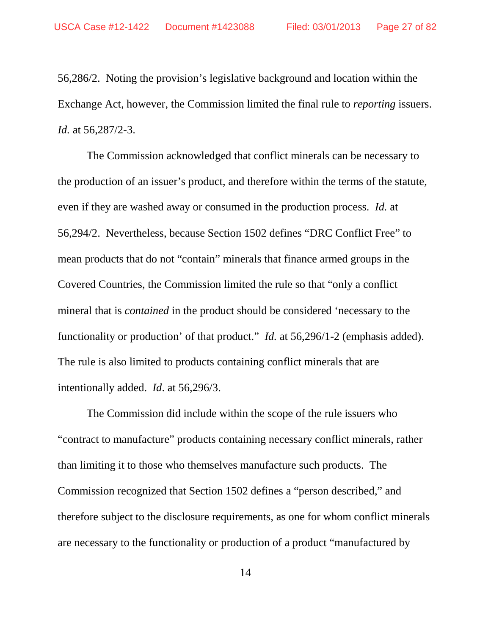56,286/2. Noting the provision's legislative background and location within the Exchange Act, however, the Commission limited the final rule to *reporting* issuers. *Id.* at 56,287/2-3.

The Commission acknowledged that conflict minerals can be necessary to the production of an issuer's product, and therefore within the terms of the statute, even if they are washed away or consumed in the production process. *Id.* at 56,294/2. Nevertheless, because Section 1502 defines "DRC Conflict Free" to mean products that do not "contain" minerals that finance armed groups in the Covered Countries, the Commission limited the rule so that "only a conflict mineral that is *contained* in the product should be considered 'necessary to the functionality or production' of that product." *Id.* at 56,296/1-2 (emphasis added). The rule is also limited to products containing conflict minerals that are intentionally added. *Id*. at 56,296/3.

The Commission did include within the scope of the rule issuers who "contract to manufacture" products containing necessary conflict minerals, rather than limiting it to those who themselves manufacture such products. The Commission recognized that Section 1502 defines a "person described," and therefore subject to the disclosure requirements, as one for whom conflict minerals are necessary to the functionality or production of a product "manufactured by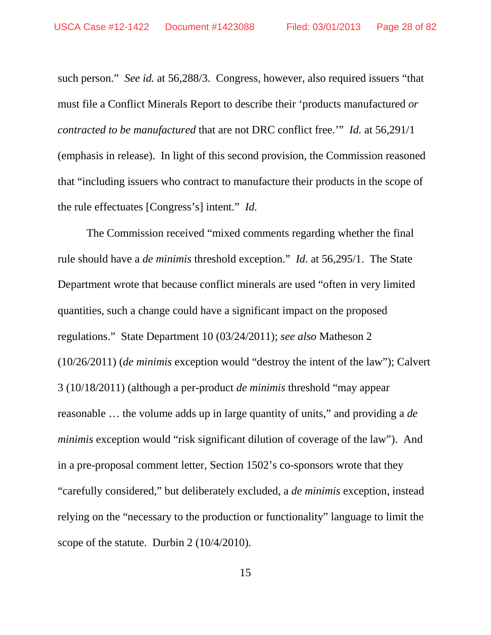such person." *See id.* at 56,288/3. Congress, however, also required issuers "that must file a Conflict Minerals Report to describe their 'products manufactured *or contracted to be manufactured* that are not DRC conflict free.'" *Id.* at 56,291/1 (emphasis in release). In light of this second provision, the Commission reasoned that "including issuers who contract to manufacture their products in the scope of the rule effectuates [Congress's] intent." *Id.* 

The Commission received "mixed comments regarding whether the final rule should have a *de minimis* threshold exception." *Id.* at 56,295/1. The State Department wrote that because conflict minerals are used "often in very limited quantities, such a change could have a significant impact on the proposed regulations." State Department 10 (03/24/2011); *see also* Matheson 2 (10/26/2011) (*de minimis* exception would "destroy the intent of the law"); Calvert 3 (10/18/2011) (although a per-product *de minimis* threshold "may appear reasonable … the volume adds up in large quantity of units," and providing a *de minimis* exception would "risk significant dilution of coverage of the law"). And in a pre-proposal comment letter, Section 1502's co-sponsors wrote that they "carefully considered," but deliberately excluded, a *de minimis* exception, instead relying on the "necessary to the production or functionality" language to limit the scope of the statute. Durbin 2 (10/4/2010).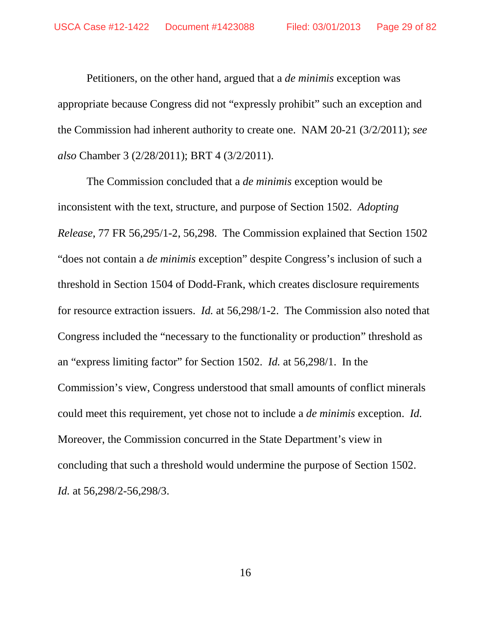Petitioners, on the other hand, argued that a *de minimis* exception was appropriate because Congress did not "expressly prohibit" such an exception and the Commission had inherent authority to create one. NAM 20-21 (3/2/2011); *see also* Chamber 3 (2/28/2011); BRT 4 (3/2/2011).

The Commission concluded that a *de minimis* exception would be inconsistent with the text, structure, and purpose of Section 1502. *Adopting Release*, 77 FR 56,295/1-2, 56,298. The Commission explained that Section 1502 "does not contain a *de minimis* exception" despite Congress's inclusion of such a threshold in Section 1504 of Dodd-Frank, which creates disclosure requirements for resource extraction issuers. *Id.* at 56,298/1-2. The Commission also noted that Congress included the "necessary to the functionality or production" threshold as an "express limiting factor" for Section 1502. *Id.* at 56,298/1. In the Commission's view, Congress understood that small amounts of conflict minerals could meet this requirement, yet chose not to include a *de minimis* exception. *Id.* Moreover, the Commission concurred in the State Department's view in concluding that such a threshold would undermine the purpose of Section 1502. *Id.* at 56,298/2-56,298/3.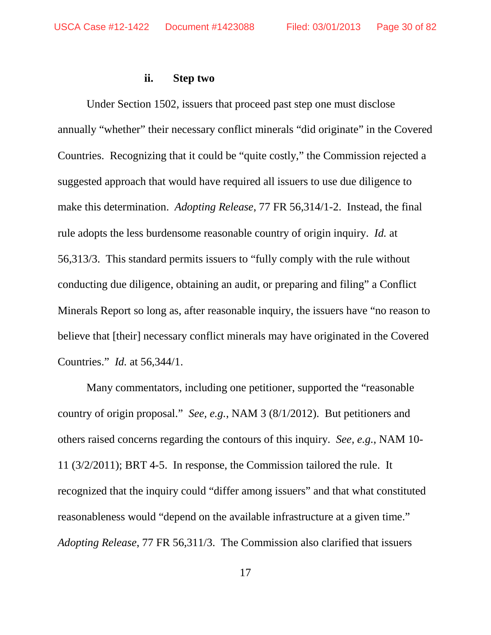### **ii. Step two**

Under Section 1502, issuers that proceed past step one must disclose annually "whether" their necessary conflict minerals "did originate" in the Covered Countries. Recognizing that it could be "quite costly," the Commission rejected a suggested approach that would have required all issuers to use due diligence to make this determination. *Adopting Release*, 77 FR 56,314/1-2. Instead, the final rule adopts the less burdensome reasonable country of origin inquiry. *Id.* at 56,313/3. This standard permits issuers to "fully comply with the rule without conducting due diligence, obtaining an audit, or preparing and filing" a Conflict Minerals Report so long as, after reasonable inquiry, the issuers have "no reason to believe that [their] necessary conflict minerals may have originated in the Covered Countries." *Id.* at 56,344/1.

Many commentators, including one petitioner, supported the "reasonable country of origin proposal." *See, e.g.*, NAM 3 (8/1/2012). But petitioners and others raised concerns regarding the contours of this inquiry. *See, e.g.*, NAM 10- 11 (3/2/2011); BRT 4-5. In response, the Commission tailored the rule. It recognized that the inquiry could "differ among issuers" and that what constituted reasonableness would "depend on the available infrastructure at a given time." *Adopting Release*, 77 FR 56,311/3. The Commission also clarified that issuers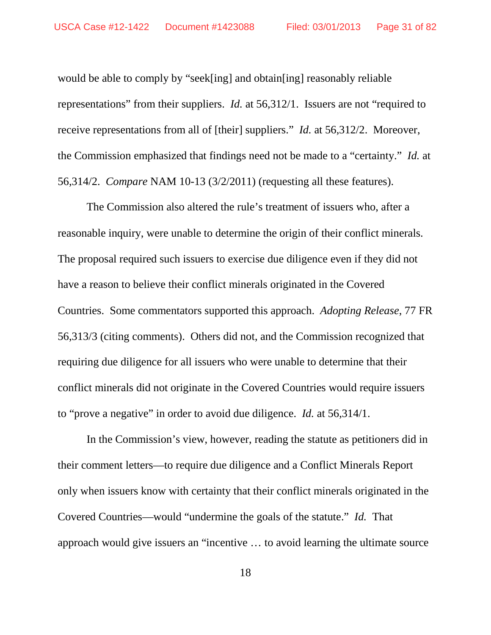would be able to comply by "seek[ing] and obtain[ing] reasonably reliable representations" from their suppliers. *Id.* at 56,312/1. Issuers are not "required to receive representations from all of [their] suppliers." *Id.* at 56,312/2. Moreover, the Commission emphasized that findings need not be made to a "certainty." *Id.* at 56,314/2. *Compare* NAM 10-13 (3/2/2011) (requesting all these features).

The Commission also altered the rule's treatment of issuers who, after a reasonable inquiry, were unable to determine the origin of their conflict minerals. The proposal required such issuers to exercise due diligence even if they did not have a reason to believe their conflict minerals originated in the Covered Countries. Some commentators supported this approach. *Adopting Release*, 77 FR 56,313/3 (citing comments). Others did not, and the Commission recognized that requiring due diligence for all issuers who were unable to determine that their conflict minerals did not originate in the Covered Countries would require issuers to "prove a negative" in order to avoid due diligence. *Id.* at 56,314/1.

In the Commission's view, however, reading the statute as petitioners did in their comment letters—to require due diligence and a Conflict Minerals Report only when issuers know with certainty that their conflict minerals originated in the Covered Countries—would "undermine the goals of the statute." *Id.* That approach would give issuers an "incentive … to avoid learning the ultimate source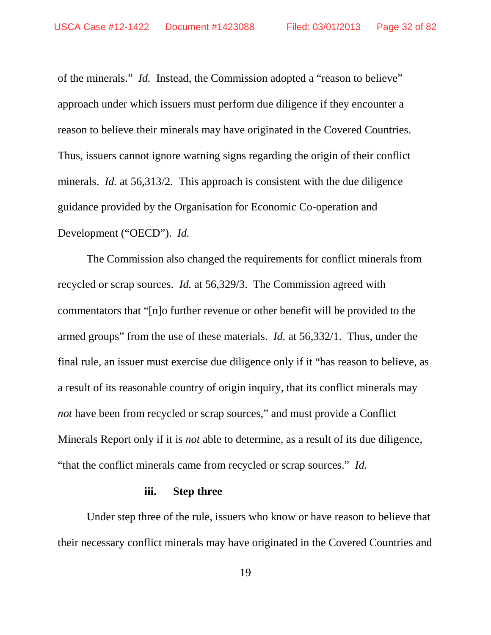of the minerals." *Id.*Instead, the Commission adopted a "reason to believe" approach under which issuers must perform due diligence if they encounter a reason to believe their minerals may have originated in the Covered Countries. Thus, issuers cannot ignore warning signs regarding the origin of their conflict minerals. *Id.* at 56,313/2. This approach is consistent with the due diligence guidance provided by the Organisation for Economic Co-operation and Development ("OECD"). *Id.*

The Commission also changed the requirements for conflict minerals from recycled or scrap sources. *Id.* at 56,329/3. The Commission agreed with commentators that "[n]o further revenue or other benefit will be provided to the armed groups" from the use of these materials. *Id.* at 56,332/1. Thus, under the final rule, an issuer must exercise due diligence only if it "has reason to believe, as a result of its reasonable country of origin inquiry, that its conflict minerals may *not* have been from recycled or scrap sources," and must provide a Conflict Minerals Report only if it is *not* able to determine, as a result of its due diligence, "that the conflict minerals came from recycled or scrap sources." *Id.*

#### **iii. Step three**

Under step three of the rule, issuers who know or have reason to believe that their necessary conflict minerals may have originated in the Covered Countries and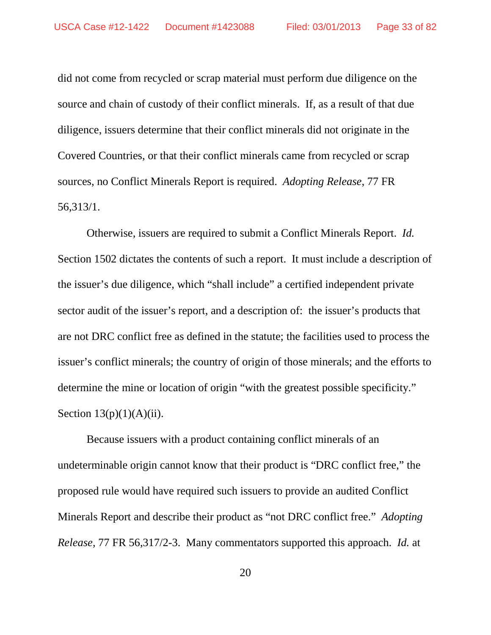did not come from recycled or scrap material must perform due diligence on the source and chain of custody of their conflict minerals. If, as a result of that due diligence, issuers determine that their conflict minerals did not originate in the Covered Countries, or that their conflict minerals came from recycled or scrap sources, no Conflict Minerals Report is required. *Adopting Release*, 77 FR 56,313/1.

Otherwise, issuers are required to submit a Conflict Minerals Report. *Id.* Section 1502 dictates the contents of such a report. It must include a description of the issuer's due diligence, which "shall include" a certified independent private sector audit of the issuer's report, and a description of: the issuer's products that are not DRC conflict free as defined in the statute; the facilities used to process the issuer's conflict minerals; the country of origin of those minerals; and the efforts to determine the mine or location of origin "with the greatest possible specificity." Section  $13(p)(1)(A)(ii)$ .

Because issuers with a product containing conflict minerals of an undeterminable origin cannot know that their product is "DRC conflict free," the proposed rule would have required such issuers to provide an audited Conflict Minerals Report and describe their product as "not DRC conflict free." *Adopting Release*, 77 FR 56,317/2-3. Many commentators supported this approach. *Id.* at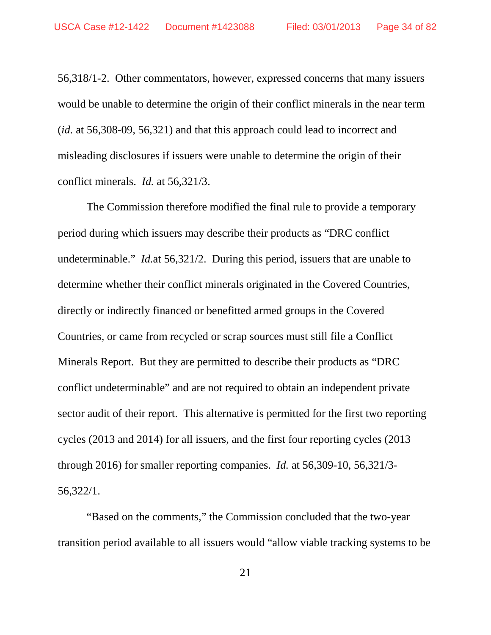56,318/1-2. Other commentators, however, expressed concerns that many issuers would be unable to determine the origin of their conflict minerals in the near term (*id.* at 56,308-09, 56,321) and that this approach could lead to incorrect and misleading disclosures if issuers were unable to determine the origin of their conflict minerals. *Id.* at 56,321/3.

The Commission therefore modified the final rule to provide a temporary period during which issuers may describe their products as "DRC conflict undeterminable." *Id.*at 56,321/2. During this period, issuers that are unable to determine whether their conflict minerals originated in the Covered Countries, directly or indirectly financed or benefitted armed groups in the Covered Countries, or came from recycled or scrap sources must still file a Conflict Minerals Report. But they are permitted to describe their products as "DRC conflict undeterminable" and are not required to obtain an independent private sector audit of their report. This alternative is permitted for the first two reporting cycles (2013 and 2014) for all issuers, and the first four reporting cycles (2013 through 2016) for smaller reporting companies. *Id.* at 56,309-10, 56,321/3- 56,322/1.

"Based on the comments," the Commission concluded that the two-year transition period available to all issuers would "allow viable tracking systems to be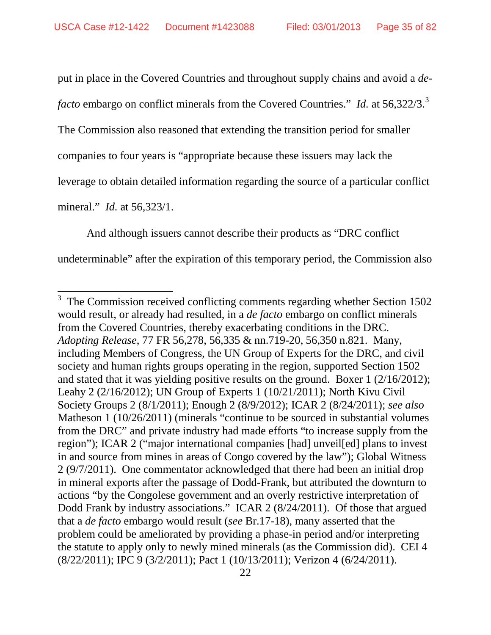put in place in the Covered Countries and throughout supply chains and avoid a *de-*

*facto* embargo on conflict minerals from the Covered Countries." *Id.* at 56,[3](#page-34-0)22/3.<sup>3</sup>

The Commission also reasoned that extending the transition period for smaller

companies to four years is "appropriate because these issuers may lack the

leverage to obtain detailed information regarding the source of a particular conflict

mineral." *Id.* at 56,323/1.

And although issuers cannot describe their products as "DRC conflict

undeterminable" after the expiration of this temporary period, the Commission also

<span id="page-34-0"></span><sup>&</sup>lt;sup>3</sup> The Commission received conflicting comments regarding whether Section 1502 would result, or already had resulted, in a *de facto* embargo on conflict minerals from the Covered Countries, thereby exacerbating conditions in the DRC. *Adopting Release*, 77 FR 56,278, 56,335 & nn.719-20, 56,350 n.821. Many, including Members of Congress, the UN Group of Experts for the DRC, and civil society and human rights groups operating in the region, supported Section 1502 and stated that it was yielding positive results on the ground. Boxer 1 (2/16/2012); Leahy 2 (2/16/2012); UN Group of Experts 1 (10/21/2011); North Kivu Civil Society Groups 2 (8/1/2011); Enough 2 (8/9/2012); ICAR 2 (8/24/2011); *see also* Matheson 1 (10/26/2011) (minerals "continue to be sourced in substantial volumes from the DRC" and private industry had made efforts "to increase supply from the region"); ICAR 2 ("major international companies [had] unveil[ed] plans to invest in and source from mines in areas of Congo covered by the law"); Global Witness 2 (9/7/2011). One commentator acknowledged that there had been an initial drop in mineral exports after the passage of Dodd-Frank, but attributed the downturn to actions "by the Congolese government and an overly restrictive interpretation of Dodd Frank by industry associations." ICAR 2 (8/24/2011). Of those that argued that a *de facto* embargo would result (*see* Br.17-18), many asserted that the problem could be ameliorated by providing a phase-in period and/or interpreting the statute to apply only to newly mined minerals (as the Commission did). CEI 4 (8/22/2011); IPC 9 (3/2/2011); Pact 1 (10/13/2011); Verizon 4 (6/24/2011).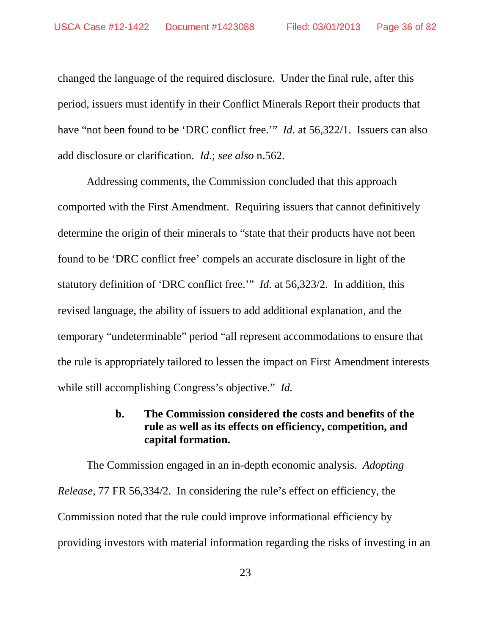changed the language of the required disclosure. Under the final rule, after this period, issuers must identify in their Conflict Minerals Report their products that have "not been found to be 'DRC conflict free.'" *Id.* at 56,322/1. Issuers can also add disclosure or clarification. *Id.*; *see also* n.562.

Addressing comments, the Commission concluded that this approach comported with the First Amendment. Requiring issuers that cannot definitively determine the origin of their minerals to "state that their products have not been found to be 'DRC conflict free' compels an accurate disclosure in light of the statutory definition of 'DRC conflict free.'" *Id.* at 56,323/2. In addition, this revised language, the ability of issuers to add additional explanation, and the temporary "undeterminable" period "all represent accommodations to ensure that the rule is appropriately tailored to lessen the impact on First Amendment interests while still accomplishing Congress's objective." *Id.*

### **b. The Commission considered the costs and benefits of the rule as well as its effects on efficiency, competition, and capital formation.**

The Commission engaged in an in-depth economic analysis. *Adopting Release*, 77 FR 56,334/2. In considering the rule's effect on efficiency, the Commission noted that the rule could improve informational efficiency by providing investors with material information regarding the risks of investing in an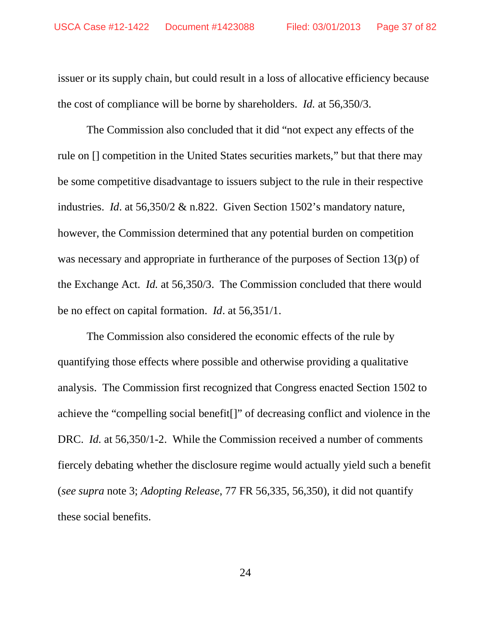issuer or its supply chain, but could result in a loss of allocative efficiency because the cost of compliance will be borne by shareholders. *Id.* at 56,350/3.

The Commission also concluded that it did "not expect any effects of the rule on [] competition in the United States securities markets," but that there may be some competitive disadvantage to issuers subject to the rule in their respective industries. *Id*. at 56,350/2 & n.822. Given Section 1502's mandatory nature, however, the Commission determined that any potential burden on competition was necessary and appropriate in furtherance of the purposes of Section 13(p) of the Exchange Act. *Id.* at 56,350/3. The Commission concluded that there would be no effect on capital formation. *Id*. at 56,351/1.

The Commission also considered the economic effects of the rule by quantifying those effects where possible and otherwise providing a qualitative analysis. The Commission first recognized that Congress enacted Section 1502 to achieve the "compelling social benefit[]" of decreasing conflict and violence in the DRC. *Id.* at 56,350/1-2. While the Commission received a number of comments fiercely debating whether the disclosure regime would actually yield such a benefit (*see supra* note 3; *Adopting Release*, 77 FR 56,335, 56,350), it did not quantify these social benefits.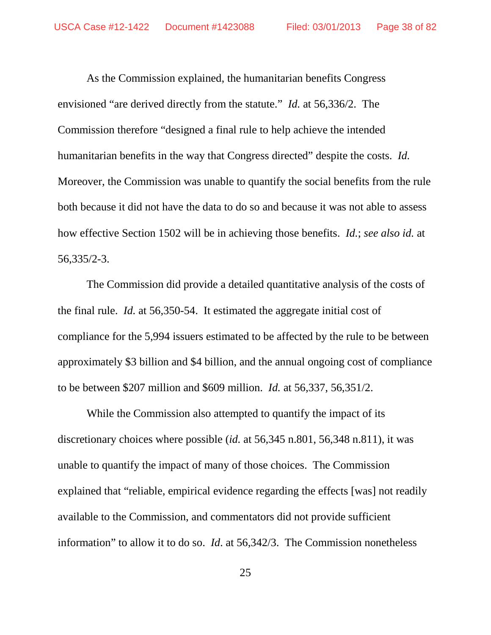As the Commission explained, the humanitarian benefits Congress envisioned "are derived directly from the statute." *Id.* at 56,336/2. The Commission therefore "designed a final rule to help achieve the intended humanitarian benefits in the way that Congress directed" despite the costs. *Id.* Moreover, the Commission was unable to quantify the social benefits from the rule both because it did not have the data to do so and because it was not able to assess how effective Section 1502 will be in achieving those benefits. *Id.*; *see also id.* at 56,335/2-3.

The Commission did provide a detailed quantitative analysis of the costs of the final rule. *Id.* at 56,350-54. It estimated the aggregate initial cost of compliance for the 5,994 issuers estimated to be affected by the rule to be between approximately \$3 billion and \$4 billion, and the annual ongoing cost of compliance to be between \$207 million and \$609 million. *Id.* at 56,337, 56,351/2.

While the Commission also attempted to quantify the impact of its discretionary choices where possible (*id.* at 56,345 n.801, 56,348 n.811), it was unable to quantify the impact of many of those choices. The Commission explained that "reliable, empirical evidence regarding the effects [was] not readily available to the Commission, and commentators did not provide sufficient information" to allow it to do so. *Id*. at 56,342/3. The Commission nonetheless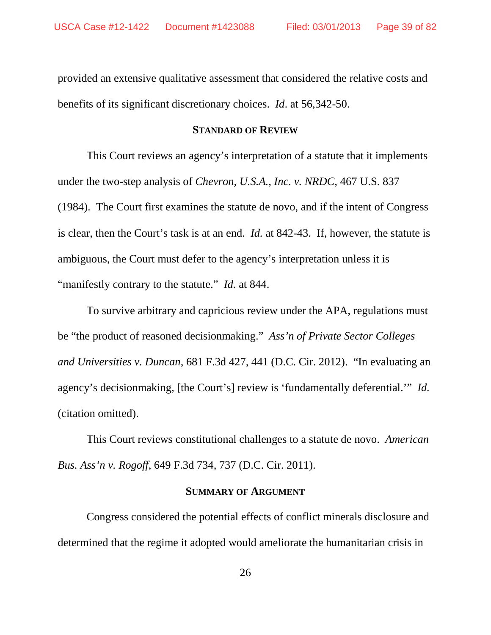provided an extensive qualitative assessment that considered the relative costs and benefits of its significant discretionary choices. *Id*. at 56,342-50.

#### **STANDARD OF REVIEW**

This Court reviews an agency's interpretation of a statute that it implements under the two-step analysis of *Chevron, U.S.A., Inc. v. NRDC*, 467 U.S. 837 (1984). The Court first examines the statute de novo, and if the intent of Congress is clear, then the Court's task is at an end. *Id.* at 842-43. If, however, the statute is ambiguous, the Court must defer to the agency's interpretation unless it is "manifestly contrary to the statute." *Id.* at 844.

To survive arbitrary and capricious review under the APA, regulations must be "the product of reasoned decisionmaking." *Ass'n of Private Sector Colleges and Universities v. Duncan*, 681 F.3d 427, 441 (D.C. Cir. 2012). "In evaluating an agency's decisionmaking, [the Court's] review is 'fundamentally deferential.'" *Id.* (citation omitted).

This Court reviews constitutional challenges to a statute de novo. *American Bus. Ass'n v. Rogoff*, 649 F.3d 734, 737 (D.C. Cir. 2011).

#### **SUMMARY OF ARGUMENT**

Congress considered the potential effects of conflict minerals disclosure and determined that the regime it adopted would ameliorate the humanitarian crisis in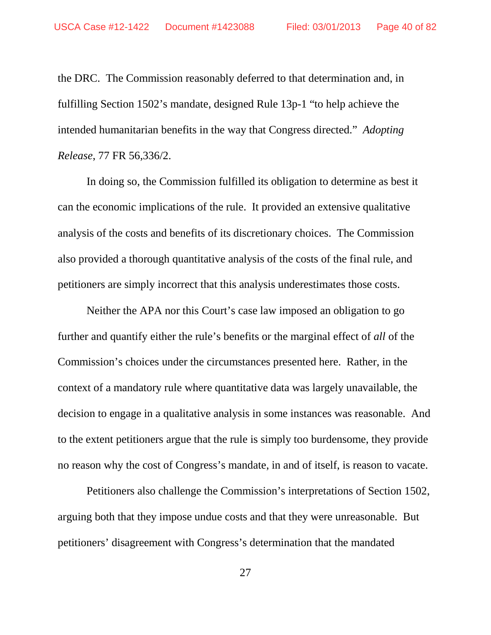the DRC. The Commission reasonably deferred to that determination and, in fulfilling Section 1502's mandate, designed Rule 13p-1 "to help achieve the intended humanitarian benefits in the way that Congress directed." *Adopting Release*, 77 FR 56,336/2.

In doing so, the Commission fulfilled its obligation to determine as best it can the economic implications of the rule. It provided an extensive qualitative analysis of the costs and benefits of its discretionary choices. The Commission also provided a thorough quantitative analysis of the costs of the final rule, and petitioners are simply incorrect that this analysis underestimates those costs.

Neither the APA nor this Court's case law imposed an obligation to go further and quantify either the rule's benefits or the marginal effect of *all* of the Commission's choices under the circumstances presented here. Rather, in the context of a mandatory rule where quantitative data was largely unavailable, the decision to engage in a qualitative analysis in some instances was reasonable. And to the extent petitioners argue that the rule is simply too burdensome, they provide no reason why the cost of Congress's mandate, in and of itself, is reason to vacate.

Petitioners also challenge the Commission's interpretations of Section 1502, arguing both that they impose undue costs and that they were unreasonable. But petitioners' disagreement with Congress's determination that the mandated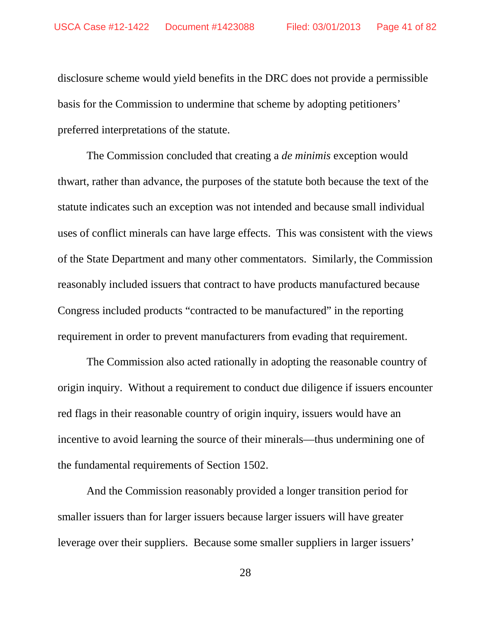disclosure scheme would yield benefits in the DRC does not provide a permissible basis for the Commission to undermine that scheme by adopting petitioners' preferred interpretations of the statute.

The Commission concluded that creating a *de minimis* exception would thwart, rather than advance, the purposes of the statute both because the text of the statute indicates such an exception was not intended and because small individual uses of conflict minerals can have large effects. This was consistent with the views of the State Department and many other commentators. Similarly, the Commission reasonably included issuers that contract to have products manufactured because Congress included products "contracted to be manufactured" in the reporting requirement in order to prevent manufacturers from evading that requirement.

The Commission also acted rationally in adopting the reasonable country of origin inquiry. Without a requirement to conduct due diligence if issuers encounter red flags in their reasonable country of origin inquiry, issuers would have an incentive to avoid learning the source of their minerals—thus undermining one of the fundamental requirements of Section 1502.

And the Commission reasonably provided a longer transition period for smaller issuers than for larger issuers because larger issuers will have greater leverage over their suppliers. Because some smaller suppliers in larger issuers'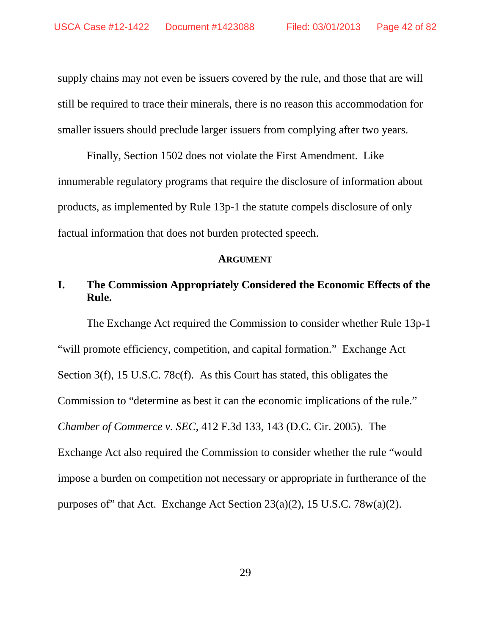supply chains may not even be issuers covered by the rule, and those that are will still be required to trace their minerals, there is no reason this accommodation for smaller issuers should preclude larger issuers from complying after two years.

Finally, Section 1502 does not violate the First Amendment. Like innumerable regulatory programs that require the disclosure of information about products, as implemented by Rule 13p-1 the statute compels disclosure of only factual information that does not burden protected speech.

#### **ARGUMENT**

# **I. The Commission Appropriately Considered the Economic Effects of the Rule.**

The Exchange Act required the Commission to consider whether Rule 13p-1 "will promote efficiency, competition, and capital formation." Exchange Act Section 3(f), 15 U.S.C. 78c(f). As this Court has stated, this obligates the Commission to "determine as best it can the economic implications of the rule." *Chamber of Commerce v. SEC*, 412 F.3d 133, 143 (D.C. Cir. 2005). The Exchange Act also required the Commission to consider whether the rule "would impose a burden on competition not necessary or appropriate in furtherance of the purposes of" that Act. Exchange Act Section 23(a)(2), 15 U.S.C. 78w(a)(2).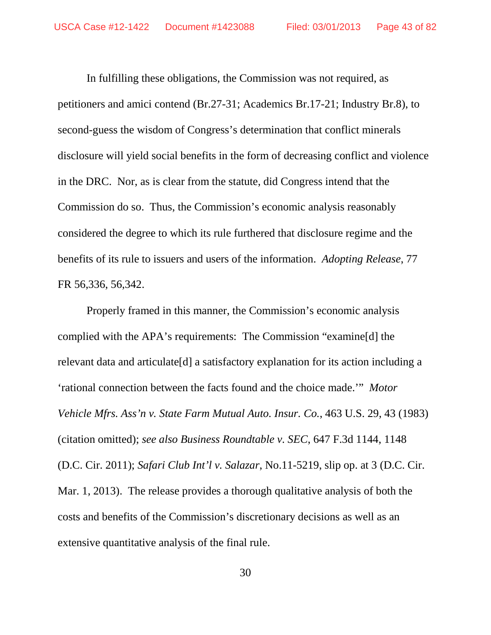In fulfilling these obligations, the Commission was not required, as petitioners and amici contend (Br.27-31; Academics Br.17-21; Industry Br.8), to second-guess the wisdom of Congress's determination that conflict minerals disclosure will yield social benefits in the form of decreasing conflict and violence in the DRC. Nor, as is clear from the statute, did Congress intend that the Commission do so. Thus, the Commission's economic analysis reasonably considered the degree to which its rule furthered that disclosure regime and the benefits of its rule to issuers and users of the information. *Adopting Release*, 77 FR 56,336, 56,342.

Properly framed in this manner, the Commission's economic analysis complied with the APA's requirements: The Commission "examine[d] the relevant data and articulate[d] a satisfactory explanation for its action including a 'rational connection between the facts found and the choice made.'" *Motor Vehicle Mfrs. Ass'n v. State Farm Mutual Auto. Insur. Co.*, 463 U.S. 29, 43 (1983) (citation omitted); *see also Business Roundtable v. SEC*, 647 F.3d 1144, 1148 (D.C. Cir. 2011); *Safari Club Int'l v. Salazar*, No.11-5219, slip op. at 3 (D.C. Cir. Mar. 1, 2013). The release provides a thorough qualitative analysis of both the costs and benefits of the Commission's discretionary decisions as well as an extensive quantitative analysis of the final rule.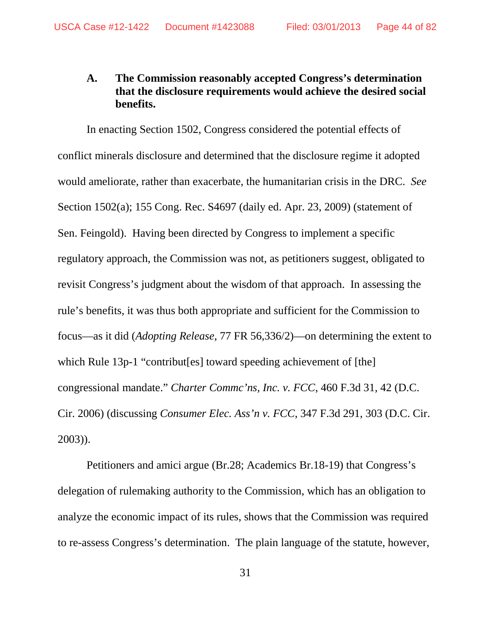# **A. The Commission reasonably accepted Congress's determination that the disclosure requirements would achieve the desired social benefits.**

In enacting Section 1502, Congress considered the potential effects of conflict minerals disclosure and determined that the disclosure regime it adopted would ameliorate, rather than exacerbate, the humanitarian crisis in the DRC. *See* Section 1502(a); 155 Cong. Rec. S4697 (daily ed. Apr. 23, 2009) (statement of Sen. Feingold). Having been directed by Congress to implement a specific regulatory approach, the Commission was not, as petitioners suggest, obligated to revisit Congress's judgment about the wisdom of that approach. In assessing the rule's benefits, it was thus both appropriate and sufficient for the Commission to focus—as it did (*Adopting Release*, 77 FR 56,336/2)—on determining the extent to which Rule 13p-1 "contribut [es] toward speeding achievement of [the] congressional mandate." *Charter Commc'ns, Inc. v. FCC*, 460 F.3d 31, 42 (D.C. Cir. 2006) (discussing *Consumer Elec. Ass'n v. FCC*, 347 F.3d 291, 303 (D.C. Cir. 2003)).

Petitioners and amici argue (Br.28; Academics Br.18-19) that Congress's delegation of rulemaking authority to the Commission, which has an obligation to analyze the economic impact of its rules, shows that the Commission was required to re-assess Congress's determination. The plain language of the statute, however,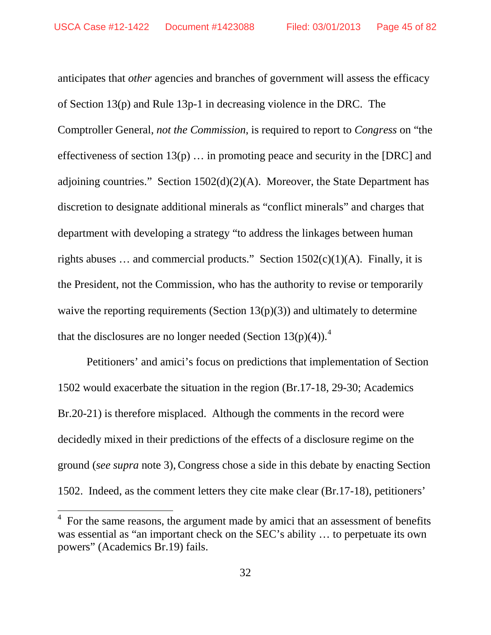anticipates that *other* agencies and branches of government will assess the efficacy of Section 13(p) and Rule 13p-1 in decreasing violence in the DRC. The Comptroller General, *not the Commission*, is required to report to *Congress* on "the effectiveness of section  $13(p)$ ... in promoting peace and security in the [DRC] and adjoining countries." Section  $1502(d)(2)(A)$ . Moreover, the State Department has discretion to designate additional minerals as "conflict minerals" and charges that department with developing a strategy "to address the linkages between human rights abuses ... and commercial products." Section  $1502(c)(1)(A)$ . Finally, it is the President, not the Commission, who has the authority to revise or temporarily waive the reporting requirements (Section  $13(p)(3)$ ) and ultimately to determine that the disclosures are no longer needed (Section 13(p)([4](#page-44-0))).<sup>4</sup>

Petitioners' and amici's focus on predictions that implementation of Section 1502 would exacerbate the situation in the region (Br.17-18, 29-30; Academics Br.20-21) is therefore misplaced. Although the comments in the record were decidedly mixed in their predictions of the effects of a disclosure regime on the ground (*see supra* note 3),Congress chose a side in this debate by enacting Section 1502. Indeed, as the comment letters they cite make clear (Br.17-18), petitioners'

<span id="page-44-0"></span> <sup>4</sup> For the same reasons, the argument made by amici that an assessment of benefits was essential as "an important check on the SEC's ability … to perpetuate its own powers" (Academics Br.19) fails.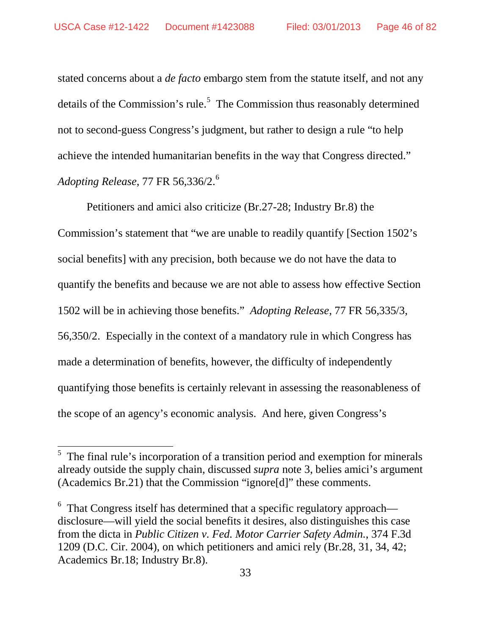stated concerns about a *de facto* embargo stem from the statute itself, and not any details of the Commission's rule.<sup>[5](#page-45-0)</sup> The Commission thus reasonably determined not to second-guess Congress's judgment, but rather to design a rule "to help achieve the intended humanitarian benefits in the way that Congress directed." *Adopting Release*, 77 FR 56,336/2.[6](#page-45-1)

Petitioners and amici also criticize (Br.27-28; Industry Br.8) the Commission's statement that "we are unable to readily quantify [Section 1502's social benefits] with any precision, both because we do not have the data to quantify the benefits and because we are not able to assess how effective Section 1502 will be in achieving those benefits." *Adopting Release*, 77 FR 56,335/3, 56,350/2. Especially in the context of a mandatory rule in which Congress has made a determination of benefits, however, the difficulty of independently quantifying those benefits is certainly relevant in assessing the reasonableness of the scope of an agency's economic analysis. And here, given Congress's

<span id="page-45-0"></span><sup>&</sup>lt;sup>5</sup> The final rule's incorporation of a transition period and exemption for minerals already outside the supply chain, discussed *supra* note 3, belies amici's argument (Academics Br.21) that the Commission "ignore[d]" these comments.

<span id="page-45-1"></span> $6$  That Congress itself has determined that a specific regulatory approach disclosure—will yield the social benefits it desires, also distinguishes this case from the dicta in *Public Citizen v. Fed. Motor Carrier Safety Admin.*, 374 F.3d 1209 (D.C. Cir. 2004), on which petitioners and amici rely (Br.28, 31, 34, 42; Academics Br.18; Industry Br.8).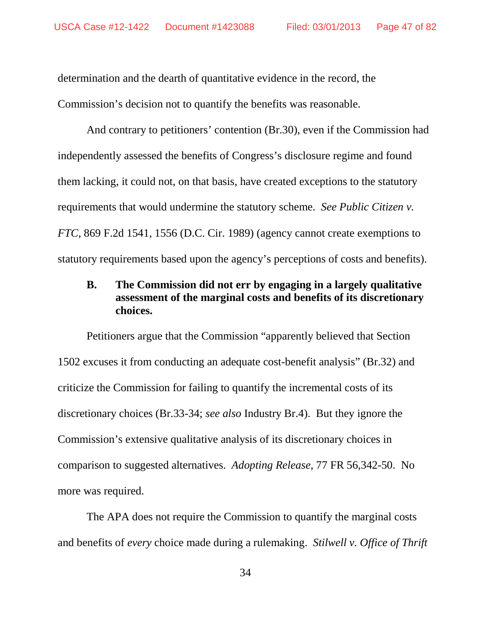determination and the dearth of quantitative evidence in the record, the Commission's decision not to quantify the benefits was reasonable.

And contrary to petitioners' contention (Br.30), even if the Commission had independently assessed the benefits of Congress's disclosure regime and found them lacking, it could not, on that basis, have created exceptions to the statutory requirements that would undermine the statutory scheme. *See Public Citizen v. FTC*, 869 F.2d 1541, 1556 (D.C. Cir. 1989) (agency cannot create exemptions to statutory requirements based upon the agency's perceptions of costs and benefits).

## **B. The Commission did not err by engaging in a largely qualitative assessment of the marginal costs and benefits of its discretionary choices.**

Petitioners argue that the Commission "apparently believed that Section 1502 excuses it from conducting an adequate cost-benefit analysis" (Br.32) and criticize the Commission for failing to quantify the incremental costs of its discretionary choices (Br.33-34; *see also* Industry Br.4). But they ignore the Commission's extensive qualitative analysis of its discretionary choices in comparison to suggested alternatives. *Adopting Release*, 77 FR 56,342-50. No more was required.

The APA does not require the Commission to quantify the marginal costs and benefits of *every* choice made during a rulemaking. *Stilwell v. Office of Thrift*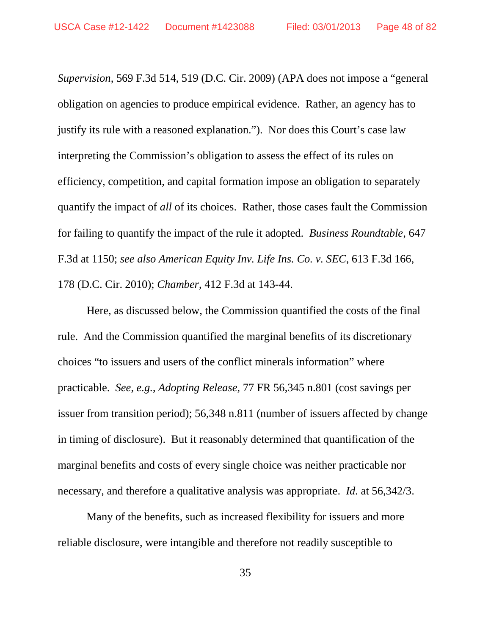*Supervision*, 569 F.3d 514, 519 (D.C. Cir. 2009) (APA does not impose a "general obligation on agencies to produce empirical evidence. Rather, an agency has to justify its rule with a reasoned explanation."). Nor does this Court's case law interpreting the Commission's obligation to assess the effect of its rules on efficiency, competition, and capital formation impose an obligation to separately quantify the impact of *all* of its choices. Rather, those cases fault the Commission for failing to quantify the impact of the rule it adopted. *Business Roundtable*, 647 F.3d at 1150; *see also American Equity Inv. Life Ins. Co. v. SEC*, 613 F.3d 166, 178 (D.C. Cir. 2010); *Chamber*, 412 F.3d at 143-44.

Here, as discussed below, the Commission quantified the costs of the final rule. And the Commission quantified the marginal benefits of its discretionary choices "to issuers and users of the conflict minerals information" where practicable. *See*, *e.g.*, *Adopting Release*, 77 FR 56,345 n.801 (cost savings per issuer from transition period); 56,348 n.811 (number of issuers affected by change in timing of disclosure). But it reasonably determined that quantification of the marginal benefits and costs of every single choice was neither practicable nor necessary, and therefore a qualitative analysis was appropriate. *Id.* at 56,342/3.

Many of the benefits, such as increased flexibility for issuers and more reliable disclosure, were intangible and therefore not readily susceptible to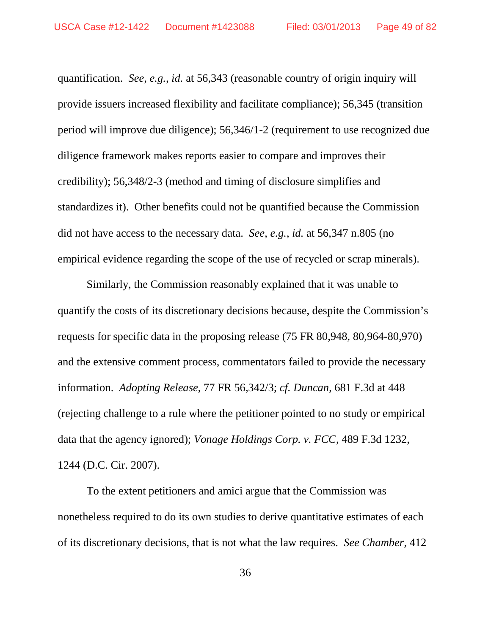quantification. *See*, *e.g.*, *id.* at 56,343 (reasonable country of origin inquiry will provide issuers increased flexibility and facilitate compliance); 56,345 (transition period will improve due diligence); 56,346/1-2 (requirement to use recognized due diligence framework makes reports easier to compare and improves their credibility); 56,348/2-3 (method and timing of disclosure simplifies and standardizes it). Other benefits could not be quantified because the Commission did not have access to the necessary data. *See*, *e.g.*, *id.* at 56,347 n.805 (no empirical evidence regarding the scope of the use of recycled or scrap minerals).

Similarly, the Commission reasonably explained that it was unable to quantify the costs of its discretionary decisions because, despite the Commission's requests for specific data in the proposing release (75 FR 80,948, 80,964-80,970) and the extensive comment process, commentators failed to provide the necessary information. *Adopting Release*, 77 FR 56,342/3; *cf. Duncan*, 681 F.3d at 448 (rejecting challenge to a rule where the petitioner pointed to no study or empirical data that the agency ignored); *Vonage Holdings Corp. v. FCC*, 489 F.3d 1232, 1244 (D.C. Cir. 2007).

To the extent petitioners and amici argue that the Commission was nonetheless required to do its own studies to derive quantitative estimates of each of its discretionary decisions, that is not what the law requires. *See Chamber*, 412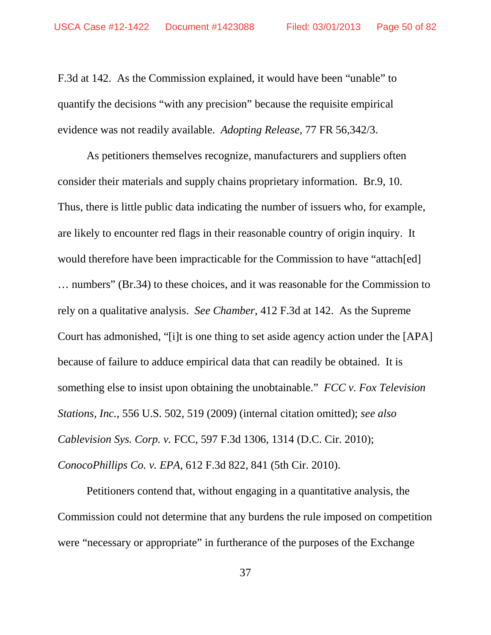F.3d at 142. As the Commission explained, it would have been "unable" to quantify the decisions "with any precision" because the requisite empirical evidence was not readily available. *Adopting Release*, 77 FR 56,342/3.

As petitioners themselves recognize, manufacturers and suppliers often consider their materials and supply chains proprietary information. Br.9, 10. Thus, there is little public data indicating the number of issuers who, for example, are likely to encounter red flags in their reasonable country of origin inquiry. It would therefore have been impracticable for the Commission to have "attach[ed] … numbers" (Br.34) to these choices, and it was reasonable for the Commission to rely on a qualitative analysis. *See Chamber*, 412 F.3d at 142. As the Supreme Court has admonished, "[i]t is one thing to set aside agency action under the [APA] because of failure to adduce empirical data that can readily be obtained. It is something else to insist upon obtaining the unobtainable." *FCC v. Fox Television Stations, Inc.*, 556 U.S. 502, 519 (2009) (internal citation omitted); *see also Cablevision Sys. Corp. v.* FCC, 597 F.3d 1306, 1314 (D.C. Cir. 2010); *ConocoPhillips Co. v. EPA*, 612 F.3d 822, 841 (5th Cir. 2010).

Petitioners contend that, without engaging in a quantitative analysis, the Commission could not determine that any burdens the rule imposed on competition were "necessary or appropriate" in furtherance of the purposes of the Exchange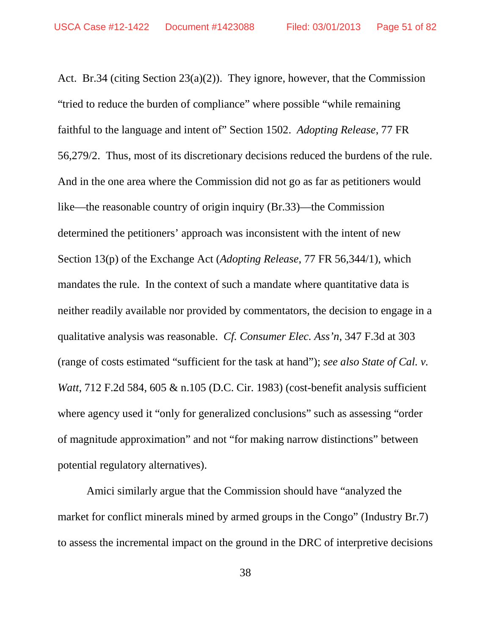Act. Br.34 (citing Section 23(a)(2)). They ignore, however, that the Commission "tried to reduce the burden of compliance" where possible "while remaining faithful to the language and intent of" Section 1502. *Adopting Release*, 77 FR 56,279/2. Thus, most of its discretionary decisions reduced the burdens of the rule. And in the one area where the Commission did not go as far as petitioners would like—the reasonable country of origin inquiry (Br.33)—the Commission determined the petitioners' approach was inconsistent with the intent of new Section 13(p) of the Exchange Act (*Adopting Release*, 77 FR 56,344/1), which mandates the rule. In the context of such a mandate where quantitative data is neither readily available nor provided by commentators, the decision to engage in a qualitative analysis was reasonable. *Cf. Consumer Elec. Ass'n*, 347 F.3d at 303 (range of costs estimated "sufficient for the task at hand"); *see also State of Cal. v. Watt*, 712 F.2d 584, 605 & n.105 (D.C. Cir. 1983) (cost-benefit analysis sufficient where agency used it "only for generalized conclusions" such as assessing "order of magnitude approximation" and not "for making narrow distinctions" between potential regulatory alternatives).

Amici similarly argue that the Commission should have "analyzed the market for conflict minerals mined by armed groups in the Congo" (Industry Br.7) to assess the incremental impact on the ground in the DRC of interpretive decisions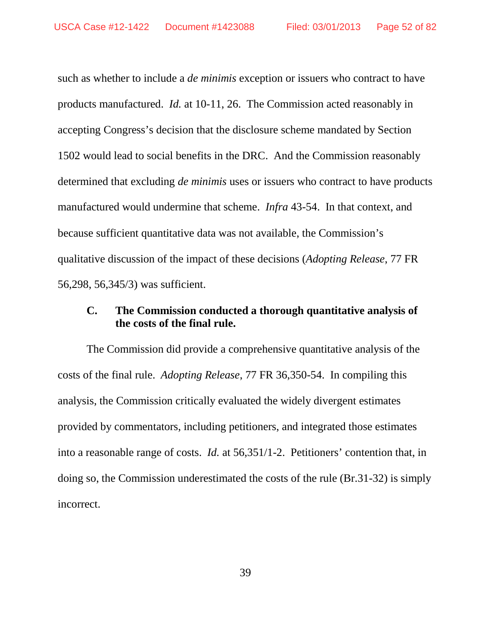such as whether to include a *de minimis* exception or issuers who contract to have products manufactured. *Id.* at 10-11, 26. The Commission acted reasonably in accepting Congress's decision that the disclosure scheme mandated by Section 1502 would lead to social benefits in the DRC. And the Commission reasonably determined that excluding *de minimis* uses or issuers who contract to have products manufactured would undermine that scheme. *Infra* 43-54. In that context, and because sufficient quantitative data was not available, the Commission's qualitative discussion of the impact of these decisions (*Adopting Release*, 77 FR 56,298, 56,345/3) was sufficient.

## **C. The Commission conducted a thorough quantitative analysis of the costs of the final rule.**

The Commission did provide a comprehensive quantitative analysis of the costs of the final rule. *Adopting Release*, 77 FR 36,350-54. In compiling this analysis, the Commission critically evaluated the widely divergent estimates provided by commentators, including petitioners, and integrated those estimates into a reasonable range of costs. *Id.* at 56,351/1-2. Petitioners' contention that, in doing so, the Commission underestimated the costs of the rule (Br.31-32) is simply incorrect.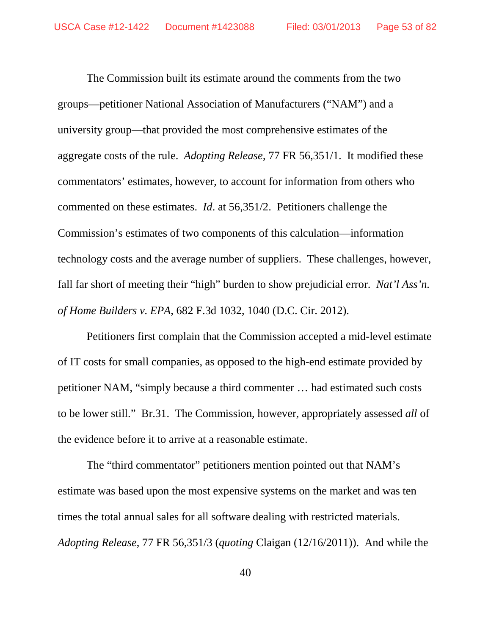The Commission built its estimate around the comments from the two groups—petitioner National Association of Manufacturers ("NAM") and a university group—that provided the most comprehensive estimates of the aggregate costs of the rule. *Adopting Release*, 77 FR 56,351/1. It modified these commentators' estimates, however, to account for information from others who commented on these estimates. *Id*. at 56,351/2. Petitioners challenge the Commission's estimates of two components of this calculation—information technology costs and the average number of suppliers. These challenges, however, fall far short of meeting their "high" burden to show prejudicial error. *Nat'l Ass'n. of Home Builders v. EPA*, 682 F.3d 1032, 1040 (D.C. Cir. 2012).

Petitioners first complain that the Commission accepted a mid-level estimate of IT costs for small companies, as opposed to the high-end estimate provided by petitioner NAM, "simply because a third commenter … had estimated such costs to be lower still." Br.31. The Commission, however, appropriately assessed *all* of the evidence before it to arrive at a reasonable estimate.

The "third commentator" petitioners mention pointed out that NAM's estimate was based upon the most expensive systems on the market and was ten times the total annual sales for all software dealing with restricted materials. *Adopting Release*, 77 FR 56,351/3 (*quoting* Claigan (12/16/2011)). And while the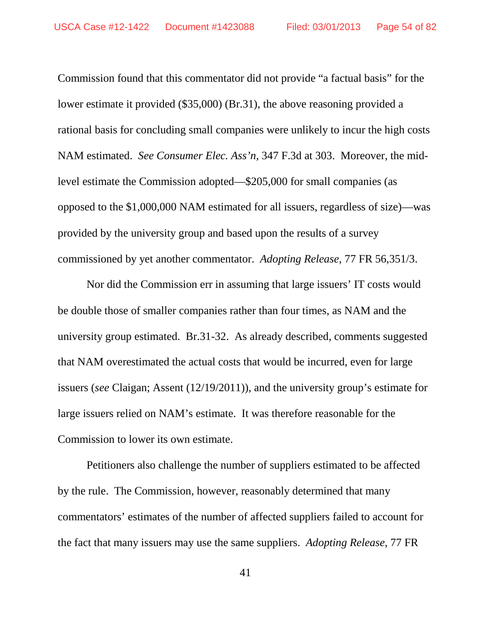Commission found that this commentator did not provide "a factual basis" for the lower estimate it provided (\$35,000) (Br.31), the above reasoning provided a rational basis for concluding small companies were unlikely to incur the high costs NAM estimated. *See Consumer Elec. Ass'n*, 347 F.3d at 303. Moreover, the midlevel estimate the Commission adopted—\$205,000 for small companies (as opposed to the \$1,000,000 NAM estimated for all issuers, regardless of size)—was provided by the university group and based upon the results of a survey commissioned by yet another commentator. *Adopting Release*, 77 FR 56,351/3.

Nor did the Commission err in assuming that large issuers' IT costs would be double those of smaller companies rather than four times, as NAM and the university group estimated. Br.31-32. As already described, comments suggested that NAM overestimated the actual costs that would be incurred, even for large issuers (*see* Claigan; Assent (12/19/2011)), and the university group's estimate for large issuers relied on NAM's estimate. It was therefore reasonable for the Commission to lower its own estimate.

Petitioners also challenge the number of suppliers estimated to be affected by the rule. The Commission, however, reasonably determined that many commentators' estimates of the number of affected suppliers failed to account for the fact that many issuers may use the same suppliers. *Adopting Release*, 77 FR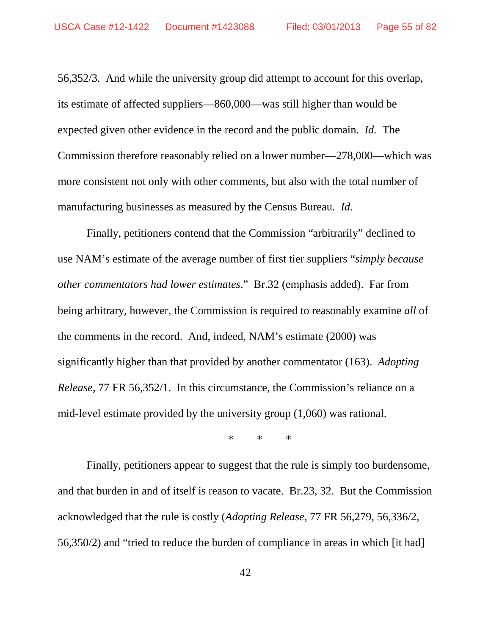56,352/3. And while the university group did attempt to account for this overlap, its estimate of affected suppliers—860,000—was still higher than would be expected given other evidence in the record and the public domain. *Id.* The Commission therefore reasonably relied on a lower number—278,000—which was more consistent not only with other comments, but also with the total number of manufacturing businesses as measured by the Census Bureau. *Id.*

Finally, petitioners contend that the Commission "arbitrarily" declined to use NAM's estimate of the average number of first tier suppliers "*simply because other commentators had lower estimates*." Br.32 (emphasis added). Far from being arbitrary, however, the Commission is required to reasonably examine *all* of the comments in the record. And, indeed, NAM's estimate (2000) was significantly higher than that provided by another commentator (163). *Adopting Release*, 77 FR 56,352/1. In this circumstance, the Commission's reliance on a mid-level estimate provided by the university group (1,060) was rational.

\* \* \*

Finally, petitioners appear to suggest that the rule is simply too burdensome, and that burden in and of itself is reason to vacate. Br.23, 32. But the Commission acknowledged that the rule is costly (*Adopting Release*, 77 FR 56,279, 56,336/2, 56,350/2) and "tried to reduce the burden of compliance in areas in which [it had]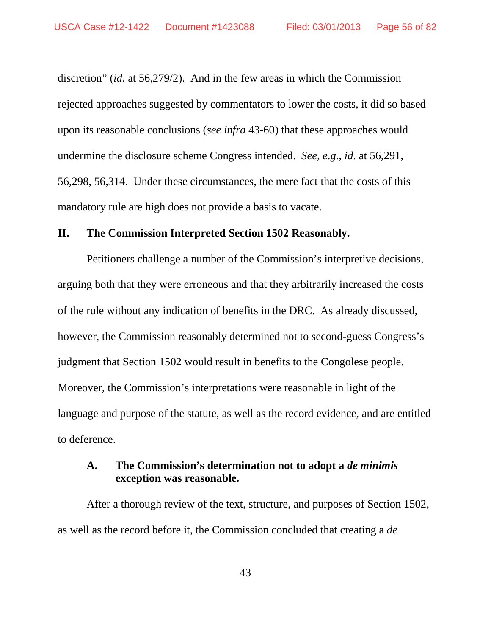discretion" (*id.* at 56,279/2). And in the few areas in which the Commission rejected approaches suggested by commentators to lower the costs, it did so based upon its reasonable conclusions (*see infra* 43-60) that these approaches would undermine the disclosure scheme Congress intended. *See*, *e.g.*, *id.* at 56,291, 56,298, 56,314. Under these circumstances, the mere fact that the costs of this mandatory rule are high does not provide a basis to vacate.

#### **II. The Commission Interpreted Section 1502 Reasonably.**

Petitioners challenge a number of the Commission's interpretive decisions, arguing both that they were erroneous and that they arbitrarily increased the costs of the rule without any indication of benefits in the DRC. As already discussed, however, the Commission reasonably determined not to second-guess Congress's judgment that Section 1502 would result in benefits to the Congolese people. Moreover, the Commission's interpretations were reasonable in light of the language and purpose of the statute, as well as the record evidence, and are entitled to deference.

### **A. The Commission's determination not to adopt a** *de minimis* **exception was reasonable.**

After a thorough review of the text, structure, and purposes of Section 1502, as well as the record before it, the Commission concluded that creating a *de* 

43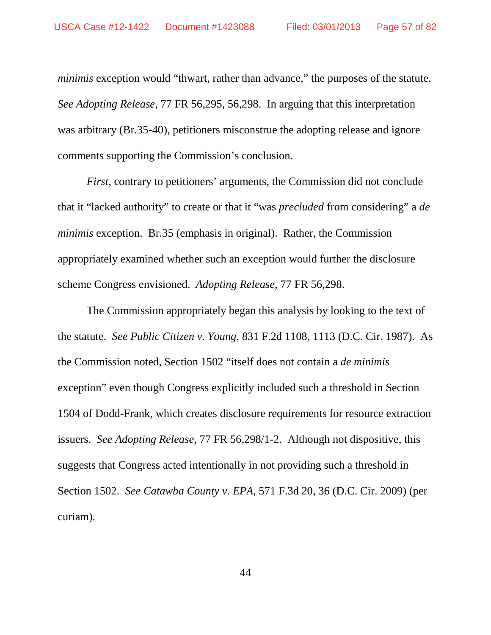*minimis* exception would "thwart, rather than advance," the purposes of the statute. *See Adopting Release*, 77 FR 56,295, 56,298. In arguing that this interpretation was arbitrary (Br.35-40), petitioners misconstrue the adopting release and ignore comments supporting the Commission's conclusion.

*First*, contrary to petitioners' arguments, the Commission did not conclude that it "lacked authority" to create or that it "was *precluded* from considering" a *de minimis* exception. Br.35 (emphasis in original). Rather, the Commission appropriately examined whether such an exception would further the disclosure scheme Congress envisioned. *Adopting Release*, 77 FR 56,298.

The Commission appropriately began this analysis by looking to the text of the statute. *See Public Citizen v. Young*, 831 F.2d 1108, 1113 (D.C. Cir. 1987). As the Commission noted, Section 1502 "itself does not contain a *de minimis* exception" even though Congress explicitly included such a threshold in Section 1504 of Dodd-Frank, which creates disclosure requirements for resource extraction issuers. *See Adopting Release*, 77 FR 56,298/1-2. Although not dispositive, this suggests that Congress acted intentionally in not providing such a threshold in Section 1502. *See Catawba County v. EPA*, 571 F.3d 20, 36 (D.C. Cir. 2009) (per curiam).

44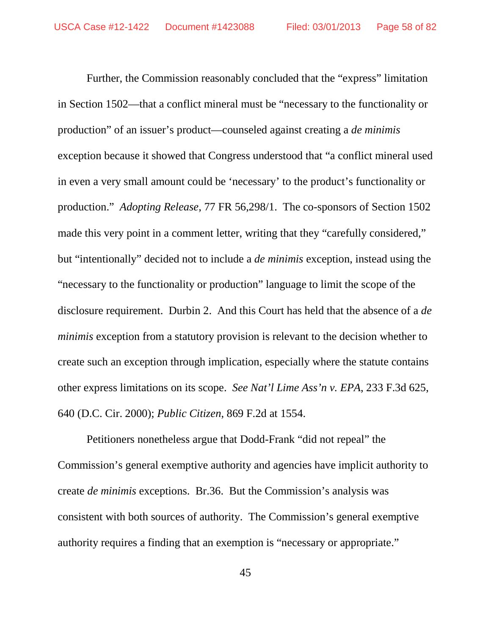Further, the Commission reasonably concluded that the "express" limitation in Section 1502—that a conflict mineral must be "necessary to the functionality or production" of an issuer's product—counseled against creating a *de minimis*  exception because it showed that Congress understood that "a conflict mineral used in even a very small amount could be 'necessary' to the product's functionality or production." *Adopting Release*, 77 FR 56,298/1. The co-sponsors of Section 1502 made this very point in a comment letter, writing that they "carefully considered," but "intentionally" decided not to include a *de minimis* exception, instead using the "necessary to the functionality or production" language to limit the scope of the disclosure requirement. Durbin 2. And this Court has held that the absence of a *de minimis* exception from a statutory provision is relevant to the decision whether to create such an exception through implication, especially where the statute contains other express limitations on its scope. *See Nat'l Lime Ass'n v. EPA*, 233 F.3d 625, 640 (D.C. Cir. 2000); *Public Citizen*, 869 F.2d at 1554.

Petitioners nonetheless argue that Dodd-Frank "did not repeal" the Commission's general exemptive authority and agencies have implicit authority to create *de minimis* exceptions. Br.36. But the Commission's analysis was consistent with both sources of authority. The Commission's general exemptive authority requires a finding that an exemption is "necessary or appropriate."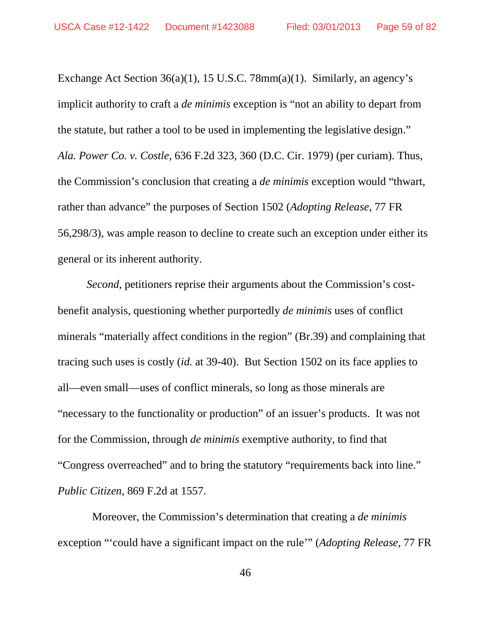Exchange Act Section 36(a)(1), 15 U.S.C. 78mm(a)(1). Similarly, an agency's implicit authority to craft a *de minimis* exception is "not an ability to depart from the statute, but rather a tool to be used in implementing the legislative design." *Ala. Power Co. v. Costle*, 636 F.2d 323, 360 (D.C. Cir. 1979) (per curiam). Thus, the Commission's conclusion that creating a *de minimis* exception would "thwart, rather than advance" the purposes of Section 1502 (*Adopting Release*, 77 FR 56,298/3), was ample reason to decline to create such an exception under either its general or its inherent authority.

*Second*, petitioners reprise their arguments about the Commission's costbenefit analysis, questioning whether purportedly *de minimis* uses of conflict minerals "materially affect conditions in the region" (Br.39) and complaining that tracing such uses is costly (*id.* at 39-40). But Section 1502 on its face applies to all—even small—uses of conflict minerals, so long as those minerals are "necessary to the functionality or production" of an issuer's products. It was not for the Commission, through *de minimis* exemptive authority, to find that "Congress overreached" and to bring the statutory "requirements back into line." *Public Citizen*, 869 F.2d at 1557.

 Moreover, the Commission's determination that creating a *de minimis*  exception "'could have a significant impact on the rule'" (*Adopting Release*, 77 FR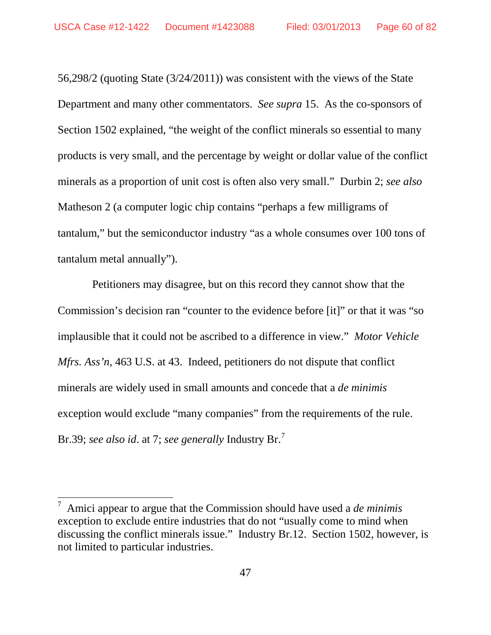56,298/2 (quoting State (3/24/2011)) was consistent with the views of the State Department and many other commentators. *See supra* 15. As the co-sponsors of Section 1502 explained, "the weight of the conflict minerals so essential to many products is very small, and the percentage by weight or dollar value of the conflict minerals as a proportion of unit cost is often also very small." Durbin 2; *see also* Matheson 2 (a computer logic chip contains "perhaps a few milligrams of tantalum," but the semiconductor industry "as a whole consumes over 100 tons of tantalum metal annually").

 Petitioners may disagree, but on this record they cannot show that the Commission's decision ran "counter to the evidence before [it]" or that it was "so implausible that it could not be ascribed to a difference in view." *Motor Vehicle Mfrs. Ass'n*, 463 U.S. at 43. Indeed, petitioners do not dispute that conflict minerals are widely used in small amounts and concede that a *de minimis* exception would exclude "many companies" from the requirements of the rule. Br.39; *see also id*. at 7; *see generally* Industry Br. [7](#page-59-0)

<span id="page-59-0"></span> <sup>7</sup> Amici appear to argue that the Commission should have used a *de minimis*  exception to exclude entire industries that do not "usually come to mind when discussing the conflict minerals issue." Industry Br.12. Section 1502, however, is not limited to particular industries.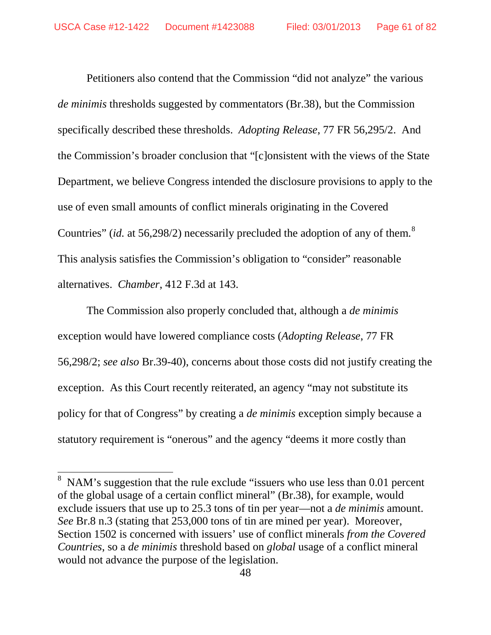Petitioners also contend that the Commission "did not analyze" the various *de minimis* thresholds suggested by commentators (Br.38), but the Commission specifically described these thresholds. *Adopting Release*, 77 FR 56,295/2. And the Commission's broader conclusion that "[c]onsistent with the views of the State Department, we believe Congress intended the disclosure provisions to apply to the use of even small amounts of conflict minerals originating in the Covered Countries" (*id.* at 56,29[8](#page-60-0)/2) necessarily precluded the adoption of any of them.<sup>8</sup> This analysis satisfies the Commission's obligation to "consider" reasonable alternatives. *Chamber*, 412 F.3d at 143.

The Commission also properly concluded that, although a *de minimis*  exception would have lowered compliance costs (*Adopting Release*, 77 FR 56,298/2; *see also* Br.39-40), concerns about those costs did not justify creating the exception. As this Court recently reiterated, an agency "may not substitute its policy for that of Congress" by creating a *de minimis* exception simply because a statutory requirement is "onerous" and the agency "deems it more costly than

<span id="page-60-0"></span><sup>&</sup>lt;sup>8</sup> NAM's suggestion that the rule exclude "issuers who use less than 0.01 percent of the global usage of a certain conflict mineral" (Br.38), for example, would exclude issuers that use up to 25.3 tons of tin per year—not a *de minimis* amount. *See* Br.8 n.3 (stating that 253,000 tons of tin are mined per year). Moreover, Section 1502 is concerned with issuers' use of conflict minerals *from the Covered Countries*, so a *de minimis* threshold based on *global* usage of a conflict mineral would not advance the purpose of the legislation.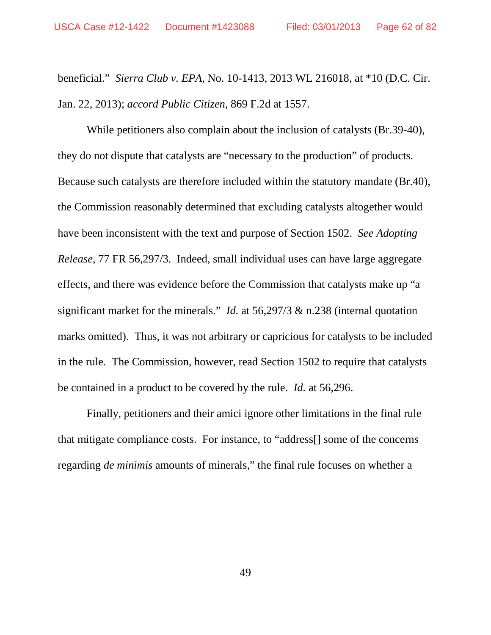beneficial." *Sierra Club v. EPA*, No. 10-1413, 2013 WL 216018, at \*10 (D.C. Cir. Jan. 22, 2013); *accord Public Citizen*, 869 F.2d at 1557.

While petitioners also complain about the inclusion of catalysts (Br.39-40), they do not dispute that catalysts are "necessary to the production" of products. Because such catalysts are therefore included within the statutory mandate (Br.40), the Commission reasonably determined that excluding catalysts altogether would have been inconsistent with the text and purpose of Section 1502. *See Adopting Release*, 77 FR 56,297/3. Indeed, small individual uses can have large aggregate effects, and there was evidence before the Commission that catalysts make up "a significant market for the minerals." *Id.* at 56,297/3 & n.238 (internal quotation marks omitted). Thus, it was not arbitrary or capricious for catalysts to be included in the rule. The Commission, however, read Section 1502 to require that catalysts be contained in a product to be covered by the rule. *Id.* at 56,296.

Finally, petitioners and their amici ignore other limitations in the final rule that mitigate compliance costs. For instance, to "address[] some of the concerns regarding *de minimis* amounts of minerals," the final rule focuses on whether a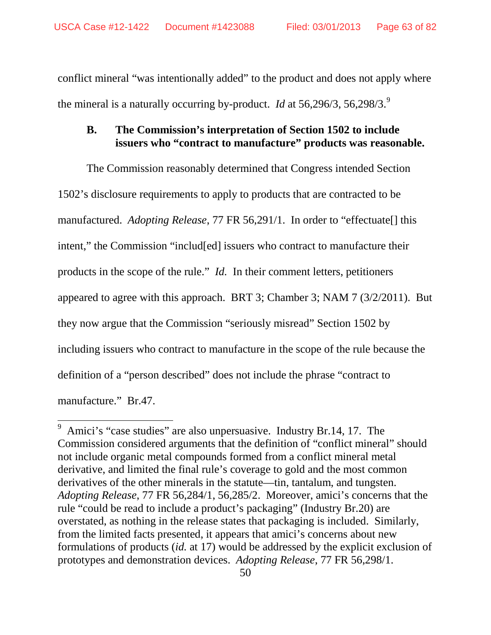conflict mineral "was intentionally added" to the product and does not apply where the mineral is a naturally occurring by-product. *Id* at 56,296/3, 56,298/3.[9](#page-62-0)

### **B. The Commission's interpretation of Section 1502 to include issuers who "contract to manufacture" products was reasonable.**

The Commission reasonably determined that Congress intended Section 1502's disclosure requirements to apply to products that are contracted to be manufactured. *Adopting Release*, 77 FR 56,291/1. In order to "effectuate[] this intent," the Commission "includ[ed] issuers who contract to manufacture their products in the scope of the rule." *Id.* In their comment letters, petitioners appeared to agree with this approach. BRT 3; Chamber 3; NAM 7 (3/2/2011). But they now argue that the Commission "seriously misread" Section 1502 by including issuers who contract to manufacture in the scope of the rule because the definition of a "person described" does not include the phrase "contract to manufacture." Br.47.

<span id="page-62-0"></span> <sup>9</sup> Amici's "case studies" are also unpersuasive. Industry Br.14, 17. The Commission considered arguments that the definition of "conflict mineral" should not include organic metal compounds formed from a conflict mineral metal derivative, and limited the final rule's coverage to gold and the most common derivatives of the other minerals in the statute—tin, tantalum, and tungsten. *Adopting Release*, 77 FR 56,284/1, 56,285/2. Moreover, amici's concerns that the rule "could be read to include a product's packaging" (Industry Br.20) are overstated, as nothing in the release states that packaging is included. Similarly, from the limited facts presented, it appears that amici's concerns about new formulations of products (*id.* at 17) would be addressed by the explicit exclusion of prototypes and demonstration devices. *Adopting Release*, 77 FR 56,298/1.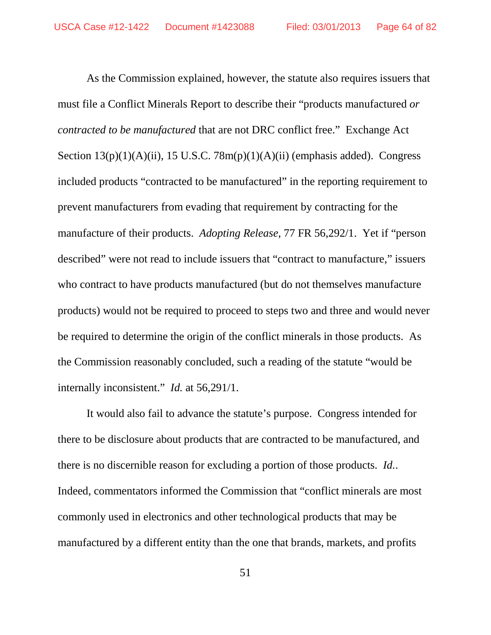As the Commission explained, however, the statute also requires issuers that must file a Conflict Minerals Report to describe their "products manufactured *or contracted to be manufactured* that are not DRC conflict free." Exchange Act Section  $13(p)(1)(A)(ii)$ ,  $15$  U.S.C.  $78m(p)(1)(A)(ii)$  (emphasis added). Congress included products "contracted to be manufactured" in the reporting requirement to prevent manufacturers from evading that requirement by contracting for the manufacture of their products. *Adopting Release*, 77 FR 56,292/1. Yet if "person described" were not read to include issuers that "contract to manufacture," issuers who contract to have products manufactured (but do not themselves manufacture products) would not be required to proceed to steps two and three and would never be required to determine the origin of the conflict minerals in those products.As the Commission reasonably concluded, such a reading of the statute "would be internally inconsistent." *Id.* at 56,291/1.

It would also fail to advance the statute's purpose. Congress intended for there to be disclosure about products that are contracted to be manufactured, and there is no discernible reason for excluding a portion of those products. *Id.*. Indeed, commentators informed the Commission that "conflict minerals are most commonly used in electronics and other technological products that may be manufactured by a different entity than the one that brands, markets, and profits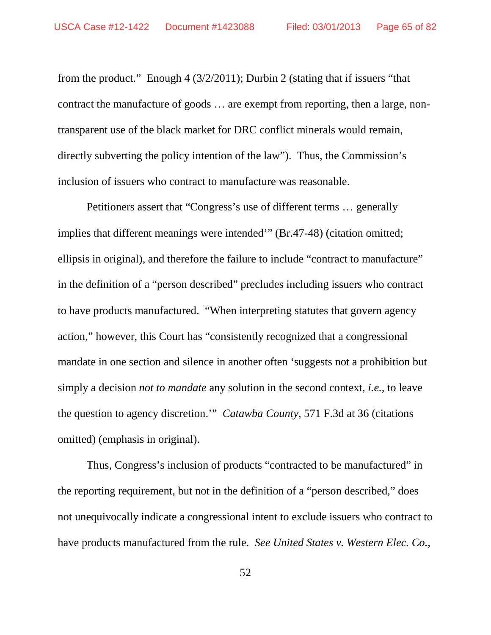from the product." Enough 4 (3/2/2011); Durbin 2 (stating that if issuers "that contract the manufacture of goods … are exempt from reporting, then a large, nontransparent use of the black market for DRC conflict minerals would remain, directly subverting the policy intention of the law"). Thus, the Commission's inclusion of issuers who contract to manufacture was reasonable.

Petitioners assert that "Congress's use of different terms … generally implies that different meanings were intended'" (Br.47-48) (citation omitted; ellipsis in original), and therefore the failure to include "contract to manufacture" in the definition of a "person described" precludes including issuers who contract to have products manufactured. "When interpreting statutes that govern agency action," however, this Court has "consistently recognized that a congressional mandate in one section and silence in another often 'suggests not a prohibition but simply a decision *not to mandate* any solution in the second context, *i.e.*, to leave the question to agency discretion.'" *Catawba County*, 571 F.3d at 36 (citations omitted) (emphasis in original).

Thus, Congress's inclusion of products "contracted to be manufactured" in the reporting requirement, but not in the definition of a "person described," does not unequivocally indicate a congressional intent to exclude issuers who contract to have products manufactured from the rule. *See United States v. Western Elec. Co.*,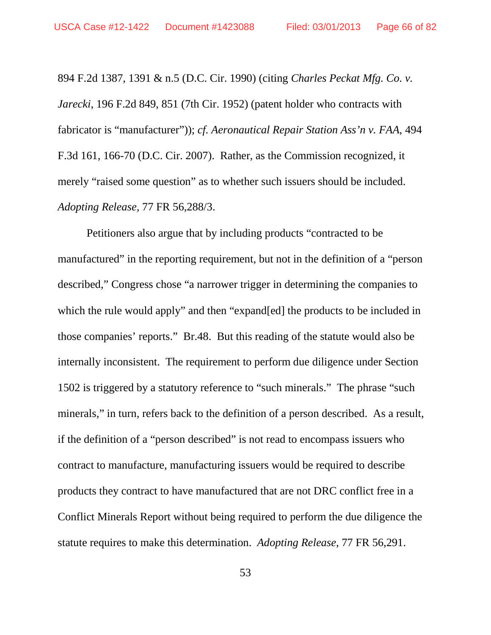894 F.2d 1387, 1391 & n.5 (D.C. Cir. 1990) (citing *Charles Peckat Mfg. Co. v. Jarecki*, 196 F.2d 849, 851 (7th Cir. 1952) (patent holder who contracts with fabricator is "manufacturer")); *cf. Aeronautical Repair Station Ass'n v. FAA*, 494 F.3d 161, 166-70 (D.C. Cir. 2007). Rather, as the Commission recognized, it merely "raised some question" as to whether such issuers should be included. *Adopting Release,* 77 FR 56,288/3.

Petitioners also argue that by including products "contracted to be manufactured" in the reporting requirement, but not in the definition of a "person described," Congress chose "a narrower trigger in determining the companies to which the rule would apply" and then "expand[ed] the products to be included in those companies' reports." Br.48. But this reading of the statute would also be internally inconsistent. The requirement to perform due diligence under Section 1502 is triggered by a statutory reference to "such minerals." The phrase "such minerals," in turn, refers back to the definition of a person described. As a result, if the definition of a "person described" is not read to encompass issuers who contract to manufacture, manufacturing issuers would be required to describe products they contract to have manufactured that are not DRC conflict free in a Conflict Minerals Report without being required to perform the due diligence the statute requires to make this determination. *Adopting Release*, 77 FR 56,291.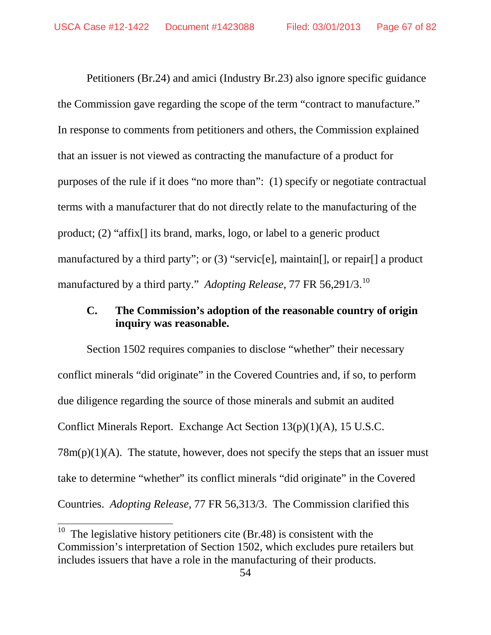Petitioners (Br.24) and amici (Industry Br.23) also ignore specific guidance the Commission gave regarding the scope of the term "contract to manufacture." In response to comments from petitioners and others, the Commission explained that an issuer is not viewed as contracting the manufacture of a product for purposes of the rule if it does "no more than": (1) specify or negotiate contractual terms with a manufacturer that do not directly relate to the manufacturing of the product; (2) "affix[] its brand, marks, logo, or label to a generic product manufactured by a third party"; or (3) "servic[e], maintain[], or repair[] a product manufactured by a third party." *Adopting Release*, 77 FR 56,291/3.[10](#page-66-0)

# **C. The Commission's adoption of the reasonable country of origin inquiry was reasonable.**

Section 1502 requires companies to disclose "whether" their necessary conflict minerals "did originate" in the Covered Countries and, if so, to perform due diligence regarding the source of those minerals and submit an audited Conflict Minerals Report. Exchange Act Section 13(p)(1)(A), 15 U.S.C.  $78m(p)(1)(A)$ . The statute, however, does not specify the steps that an issuer must take to determine "whether" its conflict minerals "did originate" in the Covered Countries. *Adopting Release*, 77 FR 56,313/3. The Commission clarified this

<span id="page-66-0"></span><sup>&</sup>lt;sup>10</sup> The legislative history petitioners cite (Br.48) is consistent with the Commission's interpretation of Section 1502, which excludes pure retailers but includes issuers that have a role in the manufacturing of their products.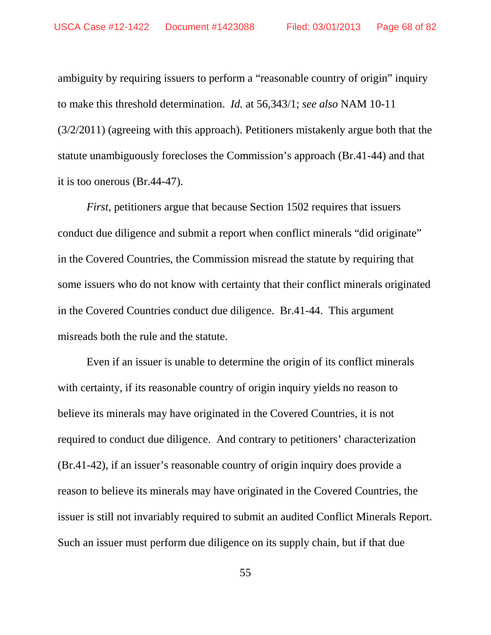ambiguity by requiring issuers to perform a "reasonable country of origin" inquiry to make this threshold determination. *Id.* at 56,343/1; *see also* NAM 10-11 (3/2/2011) (agreeing with this approach). Petitioners mistakenly argue both that the statute unambiguously forecloses the Commission's approach (Br.41-44) and that it is too onerous (Br.44-47).

*First*, petitioners argue that because Section 1502 requires that issuers conduct due diligence and submit a report when conflict minerals "did originate" in the Covered Countries, the Commission misread the statute by requiring that some issuers who do not know with certainty that their conflict minerals originated in the Covered Countries conduct due diligence. Br.41-44. This argument misreads both the rule and the statute.

Even if an issuer is unable to determine the origin of its conflict minerals with certainty, if its reasonable country of origin inquiry yields no reason to believe its minerals may have originated in the Covered Countries, it is not required to conduct due diligence. And contrary to petitioners' characterization (Br.41-42), if an issuer's reasonable country of origin inquiry does provide a reason to believe its minerals may have originated in the Covered Countries, the issuer is still not invariably required to submit an audited Conflict Minerals Report. Such an issuer must perform due diligence on its supply chain, but if that due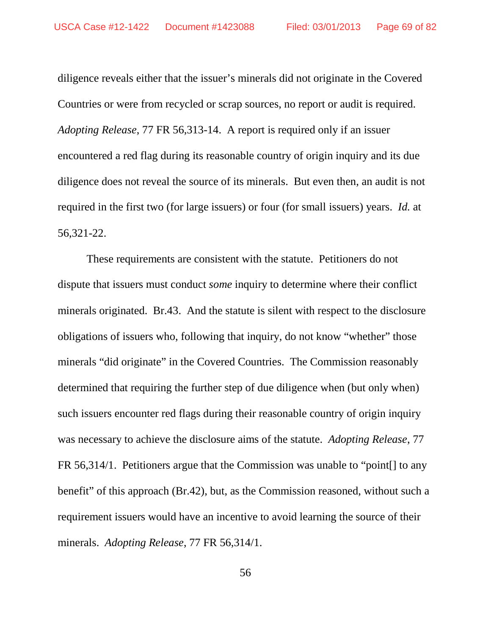diligence reveals either that the issuer's minerals did not originate in the Covered Countries or were from recycled or scrap sources, no report or audit is required. *Adopting Release*, 77 FR 56,313-14. A report is required only if an issuer encountered a red flag during its reasonable country of origin inquiry and its due diligence does not reveal the source of its minerals. But even then, an audit is not required in the first two (for large issuers) or four (for small issuers) years. *Id.* at 56,321-22.

These requirements are consistent with the statute. Petitioners do not dispute that issuers must conduct *some* inquiry to determine where their conflict minerals originated. Br.43. And the statute is silent with respect to the disclosure obligations of issuers who, following that inquiry, do not know "whether" those minerals "did originate" in the Covered Countries. The Commission reasonably determined that requiring the further step of due diligence when (but only when) such issuers encounter red flags during their reasonable country of origin inquiry was necessary to achieve the disclosure aims of the statute. *Adopting Release*, 77 FR 56,314/1. Petitioners argue that the Commission was unable to "point[] to any benefit" of this approach (Br.42), but, as the Commission reasoned, without such a requirement issuers would have an incentive to avoid learning the source of their minerals. *Adopting Release*, 77 FR 56,314/1.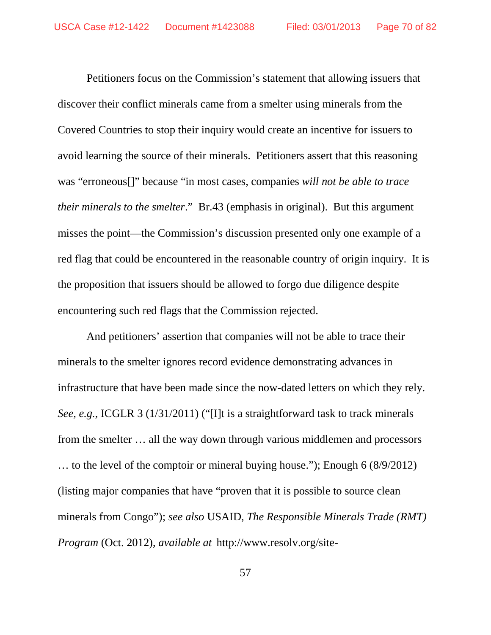Petitioners focus on the Commission's statement that allowing issuers that discover their conflict minerals came from a smelter using minerals from the Covered Countries to stop their inquiry would create an incentive for issuers to avoid learning the source of their minerals. Petitioners assert that this reasoning was "erroneous[]" because "in most cases, companies *will not be able to trace their minerals to the smelter*." Br.43 (emphasis in original). But this argument misses the point—the Commission's discussion presented only one example of a red flag that could be encountered in the reasonable country of origin inquiry. It is the proposition that issuers should be allowed to forgo due diligence despite encountering such red flags that the Commission rejected.

And petitioners' assertion that companies will not be able to trace their minerals to the smelter ignores record evidence demonstrating advances in infrastructure that have been made since the now-dated letters on which they rely. *See, e.g.*, ICGLR 3 (1/31/2011) ("[I]t is a straightforward task to track minerals from the smelter … all the way down through various middlemen and processors … to the level of the comptoir or mineral buying house."); Enough 6 (8/9/2012) (listing major companies that have "proven that it is possible to source clean minerals from Congo"); *see also* USAID, *The Responsible Minerals Trade (RMT) Program* (Oct. 2012), *available at* http://www.resolv.org/site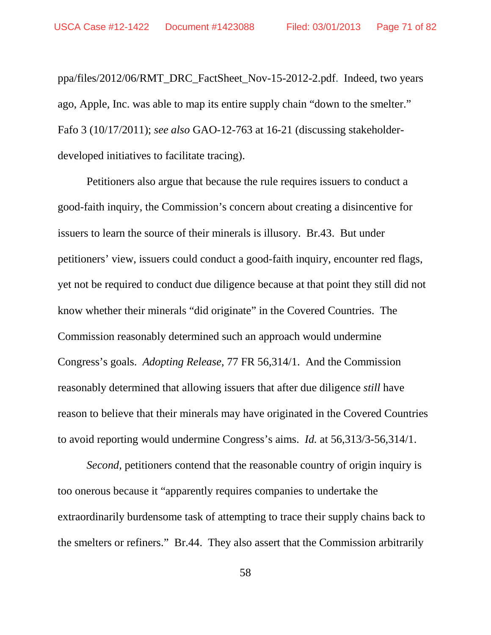ppa/files/2012/06/RMT\_DRC\_FactSheet\_Nov-15-2012-2.pdf. Indeed, two years ago, Apple, Inc. was able to map its entire supply chain "down to the smelter." Fafo 3 (10/17/2011); *see also* GAO-12-763 at 16-21 (discussing stakeholderdeveloped initiatives to facilitate tracing).

Petitioners also argue that because the rule requires issuers to conduct a good-faith inquiry, the Commission's concern about creating a disincentive for issuers to learn the source of their minerals is illusory. Br.43. But under petitioners' view, issuers could conduct a good-faith inquiry, encounter red flags, yet not be required to conduct due diligence because at that point they still did not know whether their minerals "did originate" in the Covered Countries. The Commission reasonably determined such an approach would undermine Congress's goals. *Adopting Release*, 77 FR 56,314/1. And the Commission reasonably determined that allowing issuers that after due diligence *still* have reason to believe that their minerals may have originated in the Covered Countries to avoid reporting would undermine Congress's aims. *Id.* at 56,313/3-56,314/1.

*Second*, petitioners contend that the reasonable country of origin inquiry is too onerous because it "apparently requires companies to undertake the extraordinarily burdensome task of attempting to trace their supply chains back to the smelters or refiners." Br.44. They also assert that the Commission arbitrarily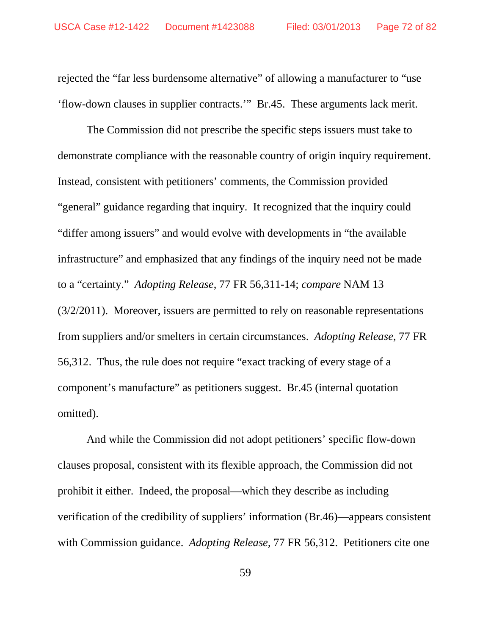rejected the "far less burdensome alternative" of allowing a manufacturer to "use 'flow-down clauses in supplier contracts.'" Br.45. These arguments lack merit.

The Commission did not prescribe the specific steps issuers must take to demonstrate compliance with the reasonable country of origin inquiry requirement. Instead, consistent with petitioners' comments, the Commission provided "general" guidance regarding that inquiry. It recognized that the inquiry could "differ among issuers" and would evolve with developments in "the available infrastructure" and emphasized that any findings of the inquiry need not be made to a "certainty." *Adopting Release*, 77 FR 56,311-14; *compare* NAM 13 (3/2/2011). Moreover, issuers are permitted to rely on reasonable representations from suppliers and/or smelters in certain circumstances. *Adopting Release*, 77 FR 56,312. Thus, the rule does not require "exact tracking of every stage of a component's manufacture" as petitioners suggest. Br.45 (internal quotation omitted).

And while the Commission did not adopt petitioners' specific flow-down clauses proposal, consistent with its flexible approach, the Commission did not prohibit it either. Indeed, the proposal—which they describe as including verification of the credibility of suppliers' information (Br.46)—appears consistent with Commission guidance. *Adopting Release*, 77 FR 56,312. Petitioners cite one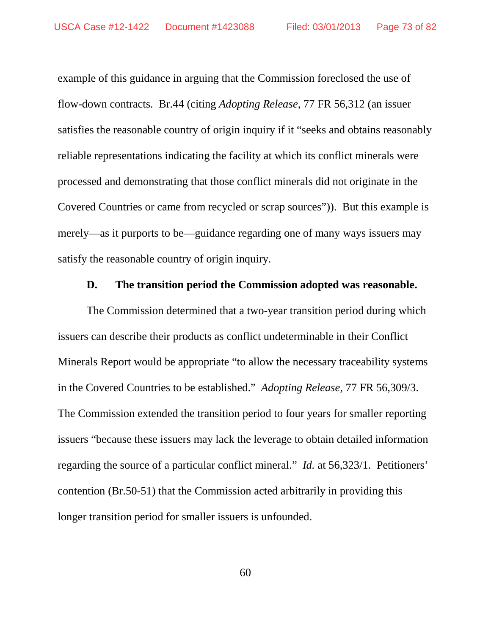example of this guidance in arguing that the Commission foreclosed the use of flow-down contracts. Br.44 (citing *Adopting Release*, 77 FR 56,312 (an issuer satisfies the reasonable country of origin inquiry if it "seeks and obtains reasonably reliable representations indicating the facility at which its conflict minerals were processed and demonstrating that those conflict minerals did not originate in the Covered Countries or came from recycled or scrap sources")). But this example is merely—as it purports to be—guidance regarding one of many ways issuers may satisfy the reasonable country of origin inquiry.

### **D. The transition period the Commission adopted was reasonable.**

The Commission determined that a two-year transition period during which issuers can describe their products as conflict undeterminable in their Conflict Minerals Report would be appropriate "to allow the necessary traceability systems in the Covered Countries to be established." *Adopting Release*, 77 FR 56,309/3. The Commission extended the transition period to four years for smaller reporting issuers "because these issuers may lack the leverage to obtain detailed information regarding the source of a particular conflict mineral." *Id.* at 56,323/1. Petitioners' contention (Br.50-51) that the Commission acted arbitrarily in providing this longer transition period for smaller issuers is unfounded.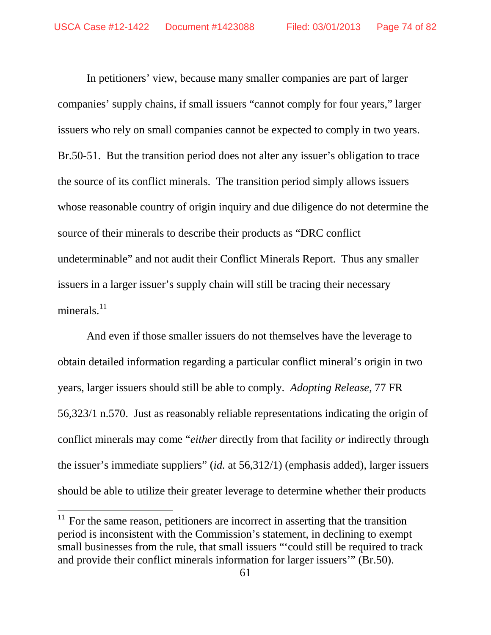In petitioners' view, because many smaller companies are part of larger companies' supply chains, if small issuers "cannot comply for four years," larger issuers who rely on small companies cannot be expected to comply in two years. Br.50-51. But the transition period does not alter any issuer's obligation to trace the source of its conflict minerals. The transition period simply allows issuers whose reasonable country of origin inquiry and due diligence do not determine the source of their minerals to describe their products as "DRC conflict undeterminable" and not audit their Conflict Minerals Report. Thus any smaller issuers in a larger issuer's supply chain will still be tracing their necessary minerals. $^{11}$  $^{11}$  $^{11}$ 

And even if those smaller issuers do not themselves have the leverage to obtain detailed information regarding a particular conflict mineral's origin in two years, larger issuers should still be able to comply. *Adopting Release*, 77 FR 56,323/1 n.570. Just as reasonably reliable representations indicating the origin of conflict minerals may come "*either* directly from that facility *or* indirectly through the issuer's immediate suppliers" (*id.* at 56,312/1) (emphasis added), larger issuers should be able to utilize their greater leverage to determine whether their products

<span id="page-73-0"></span> $11$  For the same reason, petitioners are incorrect in asserting that the transition period is inconsistent with the Commission's statement, in declining to exempt small businesses from the rule, that small issuers "'could still be required to track and provide their conflict minerals information for larger issuers'" (Br.50).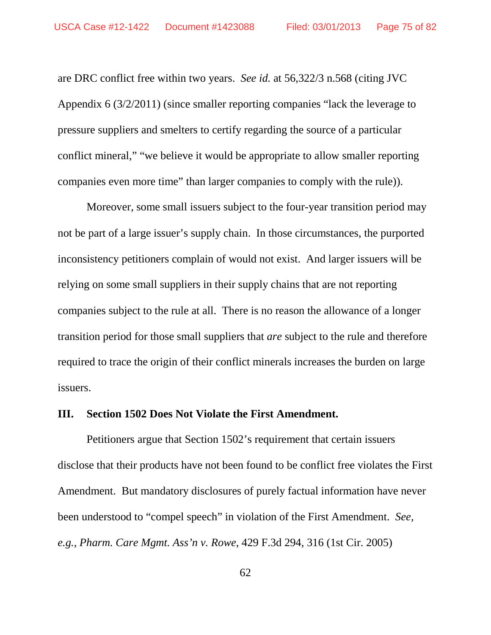are DRC conflict free within two years. *See id.* at 56,322/3 n.568 (citing JVC Appendix 6 (3/2/2011) (since smaller reporting companies "lack the leverage to pressure suppliers and smelters to certify regarding the source of a particular conflict mineral," "we believe it would be appropriate to allow smaller reporting companies even more time" than larger companies to comply with the rule)).

Moreover, some small issuers subject to the four-year transition period may not be part of a large issuer's supply chain. In those circumstances, the purported inconsistency petitioners complain of would not exist. And larger issuers will be relying on some small suppliers in their supply chains that are not reporting companies subject to the rule at all. There is no reason the allowance of a longer transition period for those small suppliers that *are* subject to the rule and therefore required to trace the origin of their conflict minerals increases the burden on large issuers.

#### **III. Section 1502 Does Not Violate the First Amendment.**

Petitioners argue that Section 1502's requirement that certain issuers disclose that their products have not been found to be conflict free violates the First Amendment. But mandatory disclosures of purely factual information have never been understood to "compel speech" in violation of the First Amendment. *See, e.g.*, *Pharm. Care Mgmt. Ass'n v. Rowe*, 429 F.3d 294, 316 (1st Cir. 2005)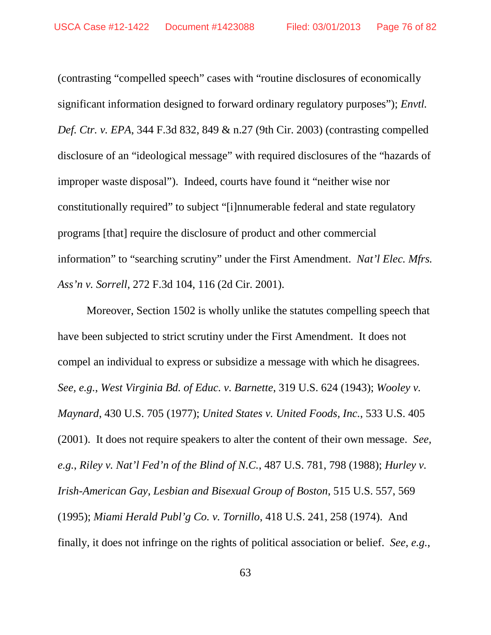(contrasting "compelled speech" cases with "routine disclosures of economically significant information designed to forward ordinary regulatory purposes"); *Envtl. Def. Ctr. v. EPA*, 344 F.3d 832, 849 & n.27 (9th Cir. 2003) (contrasting compelled disclosure of an "ideological message" with required disclosures of the "hazards of improper waste disposal"). Indeed, courts have found it "neither wise nor constitutionally required" to subject "[i]nnumerable federal and state regulatory programs [that] require the disclosure of product and other commercial information" to "searching scrutiny" under the First Amendment. *Nat'l Elec. Mfrs. Ass'n v. Sorrell*, 272 F.3d 104, 116 (2d Cir. 2001).

Moreover, Section 1502 is wholly unlike the statutes compelling speech that have been subjected to strict scrutiny under the First Amendment. It does not compel an individual to express or subsidize a message with which he disagrees. *See, e.g.*, *West Virginia Bd. of Educ. v. Barnette*, 319 U.S. 624 (1943); *Wooley v. Maynard*, 430 U.S. 705 (1977); *United States v. United Foods, Inc.*, 533 U.S. 405 (2001). It does not require speakers to alter the content of their own message. *See, e.g.*, *Riley v. Nat'l Fed'n of the Blind of N.C.*, 487 U.S. 781, 798 (1988); *Hurley v. Irish-American Gay, Lesbian and Bisexual Group of Boston*, 515 U.S. 557, 569 (1995); *Miami Herald Publ'g Co. v. Tornillo*, 418 U.S. 241, 258 (1974). And finally, it does not infringe on the rights of political association or belief. *See, e.g.*,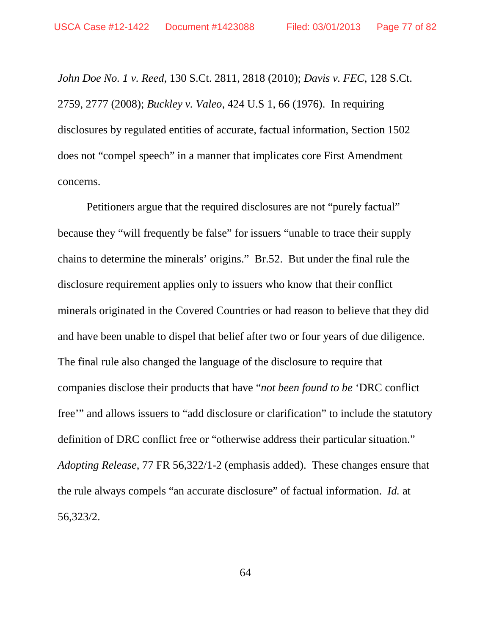*John Doe No. 1 v. Reed*, 130 S.Ct. 2811, 2818 (2010); *Davis v. FEC*, 128 S.Ct. 2759, 2777 (2008); *Buckley v. Valeo*, 424 U.S 1, 66 (1976). In requiring disclosures by regulated entities of accurate, factual information, Section 1502 does not "compel speech" in a manner that implicates core First Amendment concerns.

Petitioners argue that the required disclosures are not "purely factual" because they "will frequently be false" for issuers "unable to trace their supply chains to determine the minerals' origins." Br.52. But under the final rule the disclosure requirement applies only to issuers who know that their conflict minerals originated in the Covered Countries or had reason to believe that they did and have been unable to dispel that belief after two or four years of due diligence. The final rule also changed the language of the disclosure to require that companies disclose their products that have "*not been found to be* 'DRC conflict free'" and allows issuers to "add disclosure or clarification" to include the statutory definition of DRC conflict free or "otherwise address their particular situation." *Adopting Release*, 77 FR 56,322/1-2 (emphasis added). These changes ensure that the rule always compels "an accurate disclosure" of factual information. *Id.* at 56,323/2.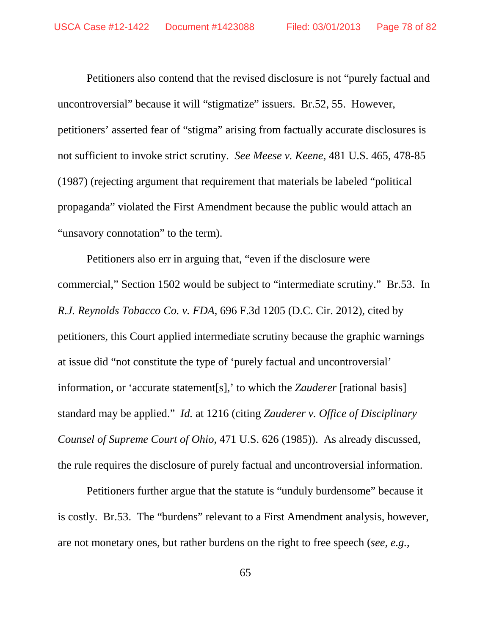Petitioners also contend that the revised disclosure is not "purely factual and uncontroversial" because it will "stigmatize" issuers. Br.52, 55. However, petitioners' asserted fear of "stigma" arising from factually accurate disclosures is not sufficient to invoke strict scrutiny. *See Meese v. Keene*, 481 U.S. 465, 478-85 (1987) (rejecting argument that requirement that materials be labeled "political propaganda" violated the First Amendment because the public would attach an "unsavory connotation" to the term).

Petitioners also err in arguing that, "even if the disclosure were commercial," Section 1502 would be subject to "intermediate scrutiny." Br.53. In *R.J. Reynolds Tobacco Co. v. FDA*, 696 F.3d 1205 (D.C. Cir. 2012), cited by petitioners, this Court applied intermediate scrutiny because the graphic warnings at issue did "not constitute the type of 'purely factual and uncontroversial' information, or 'accurate statement[s],' to which the *Zauderer* [rational basis] standard may be applied." *Id.* at 1216 (citing *Zauderer v. Office of Disciplinary Counsel of Supreme Court of Ohio*, 471 U.S. 626 (1985)). As already discussed, the rule requires the disclosure of purely factual and uncontroversial information.

Petitioners further argue that the statute is "unduly burdensome" because it is costly. Br.53. The "burdens" relevant to a First Amendment analysis, however, are not monetary ones, but rather burdens on the right to free speech (*see, e.g.,*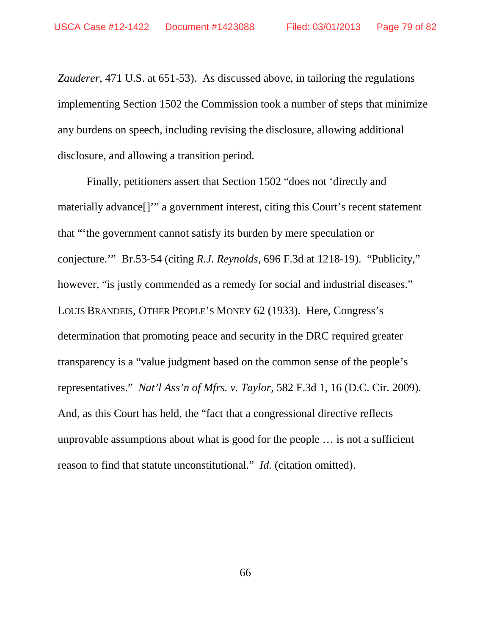*Zauderer*, 471 U.S. at 651-53). As discussed above, in tailoring the regulations implementing Section 1502 the Commission took a number of steps that minimize any burdens on speech, including revising the disclosure, allowing additional disclosure, and allowing a transition period.

Finally, petitioners assert that Section 1502 "does not 'directly and materially advance[]'" a government interest, citing this Court's recent statement that "'the government cannot satisfy its burden by mere speculation or conjecture.'" Br.53-54 (citing *R.J. Reynolds*, 696 F.3d at 1218-19). "Publicity," however, "is justly commended as a remedy for social and industrial diseases." LOUIS BRANDEIS, OTHER PEOPLE'S MONEY 62 (1933). Here, Congress's determination that promoting peace and security in the DRC required greater transparency is a "value judgment based on the common sense of the people's representatives." *Nat'l Ass'n of Mfrs. v. Taylor*, 582 F.3d 1, 16 (D.C. Cir. 2009)*.* And, as this Court has held, the "fact that a congressional directive reflects unprovable assumptions about what is good for the people … is not a sufficient reason to find that statute unconstitutional." *Id.* (citation omitted).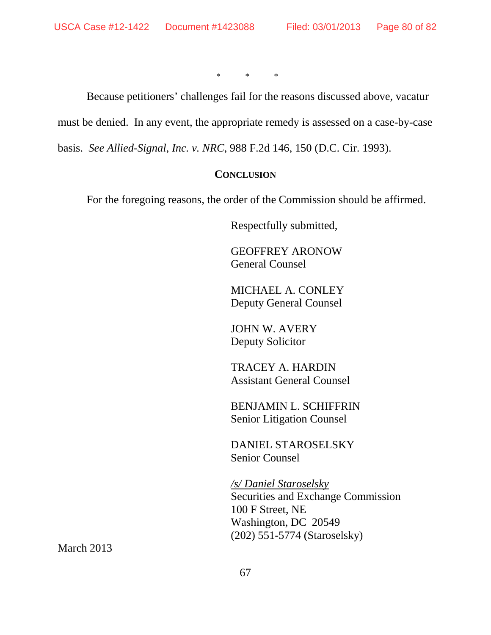\* \* \*

Because petitioners' challenges fail for the reasons discussed above, vacatur

must be denied. In any event, the appropriate remedy is assessed on a case-by-case

basis. *See Allied-Signal, Inc. v. NRC*, 988 F.2d 146, 150 (D.C. Cir. 1993).

#### **CONCLUSION**

For the foregoing reasons, the order of the Commission should be affirmed.

Respectfully submitted,

GEOFFREY ARONOW General Counsel

MICHAEL A. CONLEY Deputy General Counsel

JOHN W. AVERY Deputy Solicitor

TRACEY A. HARDIN Assistant General Counsel

BENJAMIN L. SCHIFFRIN Senior Litigation Counsel

DANIEL STAROSELSKY Senior Counsel

*/s/ Daniel Staroselsky*  Securities and Exchange Commission 100 F Street, NE Washington, DC 20549 (202) 551-5774 (Staroselsky)

March 2013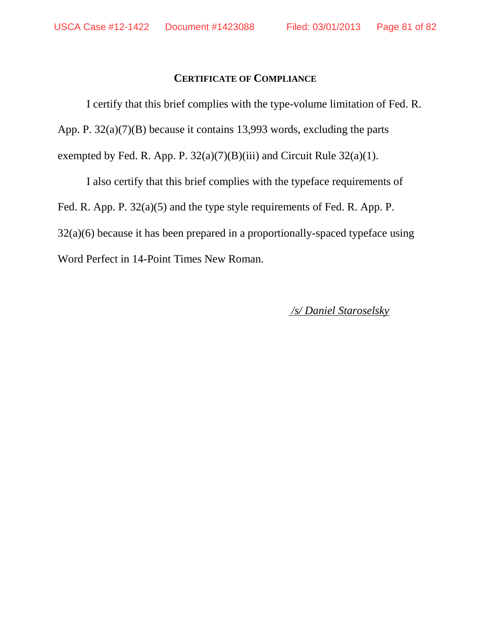## **CERTIFICATE OF COMPLIANCE**

I certify that this brief complies with the type-volume limitation of Fed. R. App. P. 32(a)(7)(B) because it contains 13,993 words, excluding the parts exempted by Fed. R. App. P.  $32(a)(7)(B)(iii)$  and Circuit Rule  $32(a)(1)$ .

I also certify that this brief complies with the typeface requirements of Fed. R. App. P. 32(a)(5) and the type style requirements of Fed. R. App. P. 32(a)(6) because it has been prepared in a proportionally-spaced typeface using Word Perfect in 14-Point Times New Roman.

*/s/ Daniel Staroselsky*